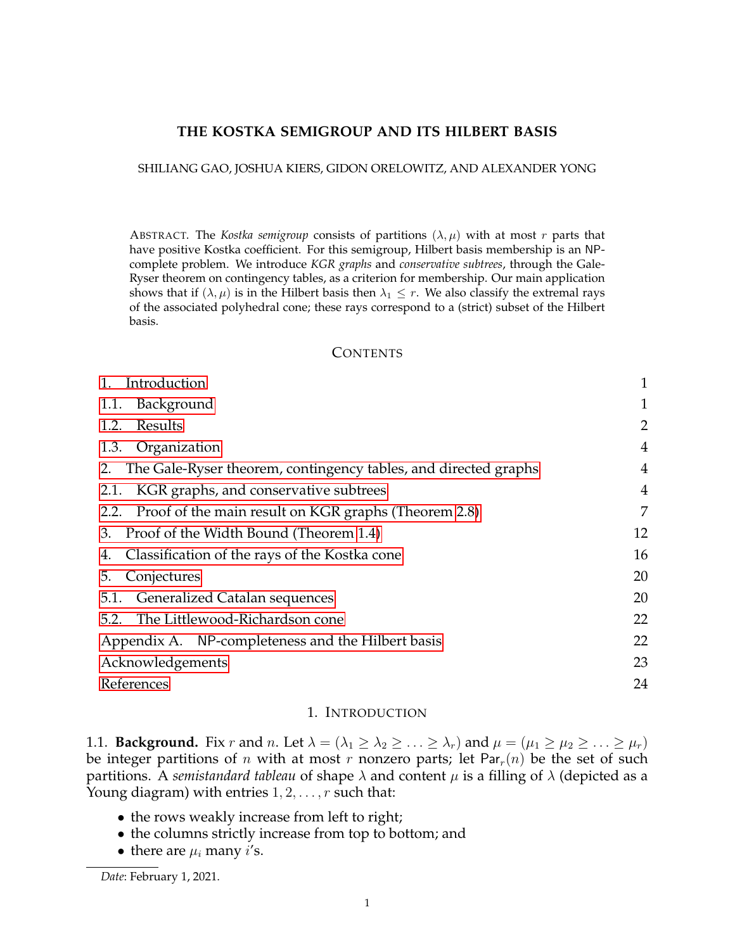# **THE KOSTKA SEMIGROUP AND ITS HILBERT BASIS**

#### SHILIANG GAO, JOSHUA KIERS, GIDON ORELOWITZ, AND ALEXANDER YONG

ABSTRACT. The *Kostka semigroup* consists of partitions  $(\lambda, \mu)$  with at most r parts that have positive Kostka coefficient. For this semigroup, Hilbert basis membership is an NPcomplete problem. We introduce *KGR graphs* and *conservative subtrees*, through the Gale-Ryser theorem on contingency tables, as a criterion for membership. Our main application shows that if  $(\lambda, \mu)$  is in the Hilbert basis then  $\lambda_1 \leq r$ . We also classify the extremal rays of the associated polyhedral cone; these rays correspond to a (strict) subset of the Hilbert basis.

## <span id="page-0-2"></span>**CONTENTS**

| Introduction                                                       | $\mathbf{1}$   |
|--------------------------------------------------------------------|----------------|
| Background<br>1.1.                                                 |                |
| Results<br>1.2.                                                    | 2              |
| 1.3. Organization                                                  | $\overline{4}$ |
| 2. The Gale-Ryser theorem, contingency tables, and directed graphs | 4              |
| KGR graphs, and conservative subtrees<br>2.1.                      | 4              |
| Proof of the main result on KGR graphs (Theorem 2.8)<br>2.2.       | $\overline{7}$ |
| Proof of the Width Bound (Theorem 1.4)<br>3.                       | 12             |
| Classification of the rays of the Kostka cone<br>4.                | 16             |
| Conjectures<br>5.                                                  | 20             |
| 5.1. Generalized Catalan sequences                                 | 20             |
| The Littlewood-Richardson cone<br>5.2.                             | 22             |
| Appendix A. NP-completeness and the Hilbert basis                  | 22             |
| Acknowledgements                                                   | 23             |
| References                                                         | 24             |
|                                                                    |                |

# 1. INTRODUCTION

<span id="page-0-1"></span><span id="page-0-0"></span>1.1. **Background.** Fix r and n. Let  $\lambda = (\lambda_1 \geq \lambda_2 \geq \ldots \geq \lambda_r)$  and  $\mu = (\mu_1 \geq \mu_2 \geq \ldots \geq \mu_r)$ be integer partitions of *n* with at most *r* nonzero parts; let Par<sub>r</sub> $(n)$  be the set of such partitions. A *semistandard tableau* of shape  $\lambda$  and content  $\mu$  is a filling of  $\lambda$  (depicted as a Young diagram) with entries  $1, 2, \ldots, r$  such that:

- the rows weakly increase from left to right;
- the columns strictly increase from top to bottom; and
- there are  $\mu_i$  many *i*'s.

*Date*: February 1, 2021.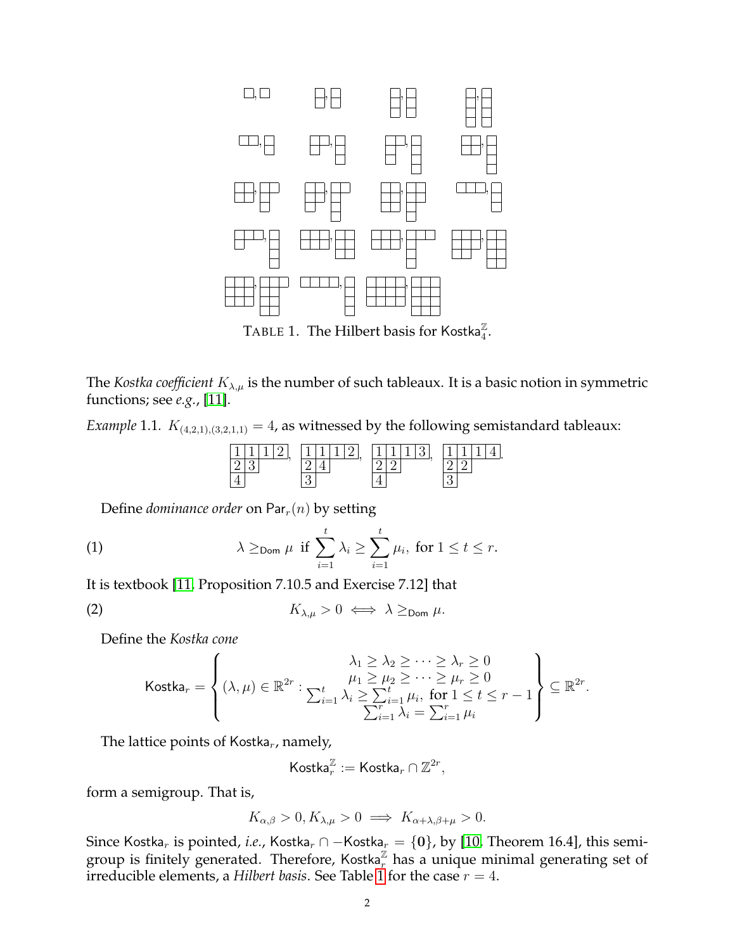

<span id="page-1-0"></span>TABLE 1. The Hilbert basis for Kostka $_{4}^{\mathbb{Z}}.$ 

The *Kostka coefficient*  $K_{\lambda,\mu}$  is the number of such tableaux. It is a basic notion in symmetric functions; see *e.g.*, [\[11\]](#page-23-1).

*Example* 1.1*.*  $K_{(4,2,1),(3,2,1,1)} = 4$ , as witnessed by the following semistandard tableaux:

<span id="page-1-2"></span>

Define *dominance order* on  $Par_r(n)$  by setting

(1) 
$$
\lambda \geq_{\text{Dom }} \mu \text{ if } \sum_{i=1}^{t} \lambda_{i} \geq \sum_{i=1}^{t} \mu_{i}, \text{ for } 1 \leq t \leq r.
$$

It is textbook [\[11,](#page-23-1) Proposition 7.10.5 and Exercise 7.12] that

$$
K_{\lambda,\mu} > 0 \iff \lambda \geq_{\text{Dom }} \mu.
$$

Define the *Kostka cone*

<span id="page-1-1"></span>
$$
\text{Kostka}_r = \left\{ (\lambda, \mu) \in \mathbb{R}^{2r} : \begin{matrix} \lambda_1 \geq \lambda_2 \geq \cdots \geq \lambda_r \geq 0 \\ \mu_1 \geq \mu_2 \geq \cdots \geq \mu_r \geq 0 \\ \sum_{i=1}^t \lambda_i \geq \sum_{i=1}^t \mu_i, \text{ for } 1 \leq t \leq r-1 \\ \sum_{i=1}^r \lambda_i = \sum_{i=1}^r \mu_i \end{matrix} \right\} \subseteq \mathbb{R}^{2r}.
$$

The lattice points of Kostka<sub>r</sub>, namely,

$$
\mathsf{Kostka}_r^\mathbb{Z}:=\mathsf{Kostka}_r\cap\mathbb{Z}^{2r},
$$

form a semigroup. That is,

$$
K_{\alpha,\beta} > 0, K_{\lambda,\mu} > 0 \implies K_{\alpha+\lambda,\beta+\mu} > 0.
$$

Since Kostka<sub>r</sub> is pointed, *i.e.*, Kostka<sub>r</sub> ∩ – Kostka<sub>r</sub> = {0}, by [\[10,](#page-23-2) Theorem 16.4], this semigroup is finitely generated. Therefore, Kostka $^{\mathbb{Z}}$  has a unique minimal generating set of irreducible elements, a *Hilbert basis*. See Table [1](#page-1-0) for the case  $r = 4$ .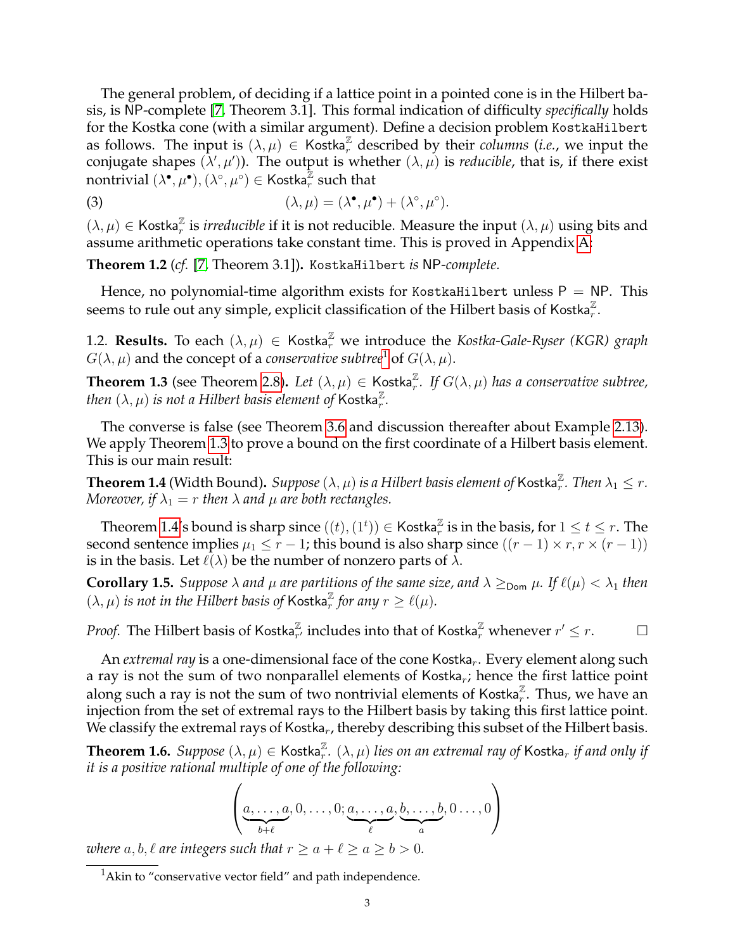The general problem, of deciding if a lattice point in a pointed cone is in the Hilbert basis, is NP-complete [\[7,](#page-23-3) Theorem 3.1]. This formal indication of difficulty *specifically* holds for the Kostka cone (with a similar argument). Define a decision problem KostkaHilbert as follows. The input is  $(\lambda, \mu) \in \text{Kostka}_r^{\mathbb{Z}}$  described by their *columns* (*i.e.*, we input the conjugate shapes  $(\lambda', \mu')$ ). The output is whether  $(\lambda, \mu)$  is *reducible*, that is, if there exist nontrivial  $(\lambda^{\bullet}, \mu^{\bullet}), (\lambda^{\circ}, \mu^{\circ}) \in \mathsf{Kostka}_{r}^{\mathbb{Z}}$  such that

<span id="page-2-6"></span>(3) 
$$
(\lambda, \mu) = (\lambda^{\bullet}, \mu^{\bullet}) + (\lambda^{\circ}, \mu^{\circ}).
$$

 $(\lambda, \mu) \in$  Kostka<sup> $\mathbb{Z}$ </sup> is *irreducible* if it is not reducible. Measure the input  $(\lambda, \mu)$  using bits and assume arithmetic operations take constant time. This is proved in Appendix [A:](#page-21-1)

<span id="page-2-5"></span>**Theorem 1.2** (*cf.* [\[7,](#page-23-3) Theorem 3.1])**.** KostkaHilbert *is* NP*-complete.*

Hence, no polynomial-time algorithm exists for KostkaHilbert unless  $P = NP$ . This seems to rule out any simple, explicit classification of the Hilbert basis of Kostka $\frac{z}{r}$ .

<span id="page-2-0"></span>1.2. **Results.** To each  $(\lambda, \mu) \in \mathsf{Kostka}_{r}^{\mathbb{Z}}$  we introduce the *Kostka-Gale-Ryser (KGR) graph*  $G(\lambda, \mu)$  and the concept of a *conservative subtree*<sup>[1](#page-2-2)</sup> of  $G(\lambda, \mu)$ .

<span id="page-2-3"></span>**Theorem 1.3** (see Theorem [2.8\)](#page-6-1). Let  $(\lambda, \mu) \in \text{Kostka}_r^{\mathbb{Z}}$ . If  $G(\lambda, \mu)$  has a conservative subtree, *then*  $(\lambda, \mu)$  *is not a Hilbert basis element of K*ostka $_{r}^{\mathbb{Z}}$ *.* 

The converse is false (see Theorem [3.6](#page-14-0) and discussion thereafter about Example [2.13\)](#page-7-0). We apply Theorem [1.3](#page-2-3) to prove a bound on the first coordinate of a Hilbert basis element. This is our main result:

<span id="page-2-1"></span> $\bf Theorem\ 1.4$  (Width Bound).  $\it Suppose$   $(\lambda,\mu)$  *is a Hilbert basis element of* Kostka $_{r}^{\mathbb{Z}}.$  *Then*  $\lambda_1\leq r.$ *Moreover, if*  $\lambda_1 = r$  *then*  $\lambda$  *and*  $\mu$  *are both rectangles.* 

Theorem [1.4'](#page-2-1)s bound is sharp since  $((t),(1^t))\in\mathsf{Kostka}_r^\mathbb{Z}$  is in the basis, for  $1\leq t\leq r.$  The second sentence implies  $\mu_1 \leq r - 1$ ; this bound is also sharp since  $((r - 1) \times r, r \times (r - 1))$ is in the basis. Let  $\ell(\lambda)$  be the number of nonzero parts of  $\lambda$ .

**Corollary 1.5.** *Suppose*  $\lambda$  *and*  $\mu$  *are partitions of the same size, and*  $\lambda \geq_{\text{Dom}} \mu$ *. If*  $\ell(\mu) < \lambda_1$  *then*  $(\lambda, \mu)$  *is not in the Hilbert basis of* Kostka<sup> $\mathbb{Z}$ </sup> for any  $r \geq \ell(\mu)$ *.* 

*Proof.* The Hilbert basis of Kostka $^{\mathbb{Z}}_{r'}$  includes into that of Kostka $^{\mathbb{Z}}_{r}$  whenever  $r' \leq r.$ 

An *extremal ray* is a one-dimensional face of the cone Kostka<sub>r</sub>. Every element along such a ray is not the sum of two nonparallel elements of Kostka<sub>r</sub>; hence the first lattice point along such a ray is not the sum of two nontrivial elements of Kostka $_{r}^{\mathbb{Z}}$ . Thus, we have an injection from the set of extremal rays to the Hilbert basis by taking this first lattice point. We classify the extremal rays of Kostka<sub>r</sub>, thereby describing this subset of the Hilbert basis.

<span id="page-2-4"></span>**Theorem 1.6.** *Suppose*  $(\lambda, \mu) \in \mathsf{Kostka}_r^\mathbb{Z}$ .  $(\lambda, \mu)$  *lies on an extremal ray of*  $\mathsf{Kostka}_r$  *if and only if it is a positive rational multiple of one of the following:*

$$
\left(\underbrace{a,\ldots,a}_{b+\ell},0,\ldots,0;\underbrace{a,\ldots,a}_{\ell},\underbrace{b,\ldots,b}_{a},0\ldots,0\right)
$$

*where*  $a, b, \ell$  *are integers such that*  $r \ge a + \ell \ge a \ge b > 0$ *.* 

<span id="page-2-2"></span><sup>&</sup>lt;sup>1</sup>Akin to "conservative vector field" and path independence.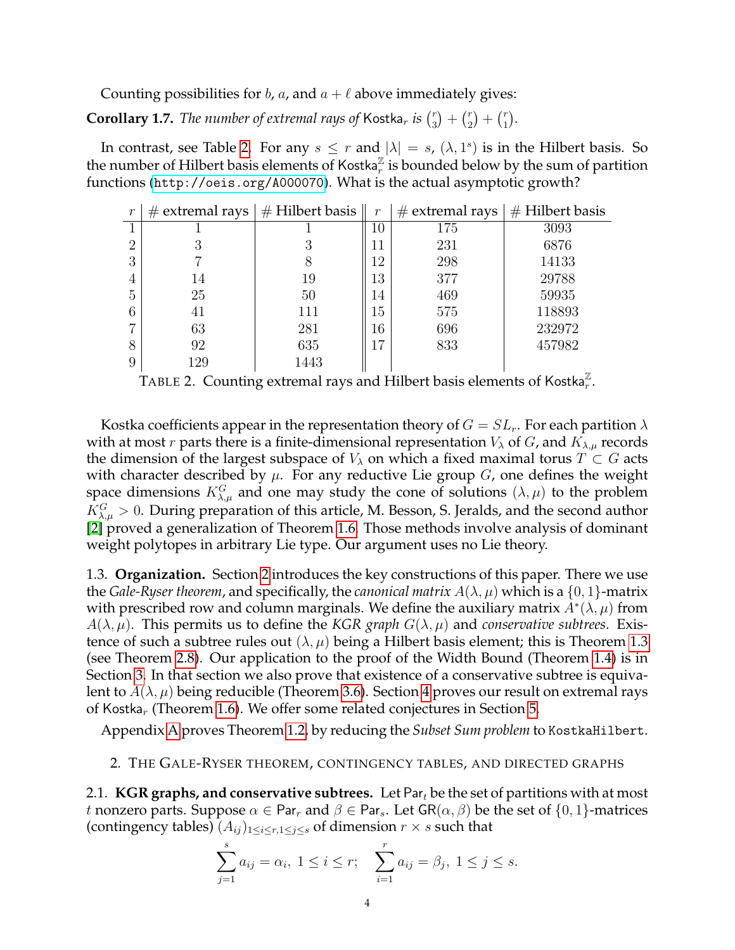Counting possibilities for b, a, and  $a + \ell$  above immediately gives:

**Corollary 1.7.** *The number of extremal rays of* Kostka<sub>r</sub> *is*  $\binom{r}{3}$  $\binom{r}{3} + \binom{r}{2}$  $\binom{r}{2} + \binom{r}{1}$  $\binom{r}{1}$ .

In contrast, see Table [2.](#page-3-3) For any  $s \leq r$  and  $|\lambda| = s$ ,  $(\lambda, 1^s)$  is in the Hilbert basis. So the number of Hilbert basis elements of Kostka $\mathbb{Z}^{\mathbb{Z}}$  is bounded below by the sum of partition functions (<http://oeis.org/A000070>). What is the actual asymptotic growth?

| $\mathcal{r}$  |     | $\#$ extremal rays $\#$ Hilbert basis | $\mathcal{r}$ | $\#$ extremal rays $\parallel$ | $\vert \#$ Hilbert basis |
|----------------|-----|---------------------------------------|---------------|--------------------------------|--------------------------|
| $\mathbf{1}$   |     |                                       | $10\,$        | 175                            | 3093                     |
| $\overline{2}$ |     |                                       |               | 231                            | 6876                     |
| 3              |     | 8                                     | 12            | 298                            | 14133                    |
| $\overline{4}$ | 14  | 19                                    | 13            | 377                            | 29788                    |
| 5              | 25  | 50                                    | 14            | 469                            | 59935                    |
| 6              | 41  | 111                                   | 15            | 575                            | 118893                   |
| 7              | 63  | 281                                   | 16            | 696                            | 232972                   |
| 8              | 92  | 635                                   |               | 833                            | 457982                   |
| 9              | 129 | 1443                                  |               |                                | $\overline{77}$          |

<span id="page-3-3"></span>TABLE 2. Counting extremal rays and Hilbert basis elements of Kostka $^{\mathbb{Z}}_{r}.$ 

Kostka coefficients appear in the representation theory of  $G = SL_r$ . For each partition  $\lambda$ with at most r parts there is a finite-dimensional representation  $V_{\lambda}$  of  $G$ , and  $K_{\lambda,\mu}$  records the dimension of the largest subspace of  $V_\lambda$  on which a fixed maximal torus  $T \subset G$  acts with character described by  $\mu$ . For any reductive Lie group G, one defines the weight space dimensions  $K_{\lambda,\mu}^G$  and one may study the cone of solutions  $(\lambda,\mu)$  to the problem  $K_{\lambda,\mu}^G > 0$ . During preparation of this article, M. Besson, S. Jeralds, and the second author [\[2\]](#page-23-4) proved a generalization of Theorem [1.6.](#page-2-4) Those methods involve analysis of dominant weight polytopes in arbitrary Lie type. Our argument uses no Lie theory.

<span id="page-3-0"></span>1.3. **Organization.** Section [2](#page-3-1) introduces the key constructions of this paper. There we use the *Gale-Ryser theorem*, and specifically, the *canonical matrix*  $A(\lambda, \mu)$  which is a  $\{0, 1\}$ -matrix with prescribed row and column marginals. We define the auxiliary matrix  $A^*(\lambda, \mu)$  from  $A(\lambda, \mu)$ . This permits us to define the *KGR graph*  $G(\lambda, \mu)$  and *conservative subtrees*. Existence of such a subtree rules out  $(\lambda, \mu)$  being a Hilbert basis element; this is Theorem [1.3](#page-2-3) (see Theorem [2.8\)](#page-6-1). Our application to the proof of the Width Bound (Theorem [1.4\)](#page-2-1) is in Section [3.](#page-11-0) In that section we also prove that existence of a conservative subtree is equivalent to  $A(\lambda, \mu)$  being reducible (Theorem [3.6\)](#page-14-0). Section [4](#page-15-0) proves our result on extremal rays of Kostka<sub>r</sub> (Theorem [1.6\)](#page-2-4). We offer some related conjectures in Section [5.](#page-19-0)

Appendix [A](#page-21-1) proves Theorem [1.2,](#page-2-5) by reducing the *Subset Sum problem* to KostkaHilbert.

# <span id="page-3-1"></span>2. THE GALE-RYSER THEOREM, CONTINGENCY TABLES, AND DIRECTED GRAPHS

<span id="page-3-2"></span>2.1. **KGR graphs, and conservative subtrees.** Let Par<sub>t</sub> be the set of partitions with at most t nonzero parts. Suppose  $\alpha \in \text{Par}_r$  and  $\beta \in \text{Par}_s$ . Let  $\text{GR}(\alpha, \beta)$  be the set of  $\{0, 1\}$ -matrices (contingency tables)  $(A_{ij})_{1\leq i\leq r, 1\leq j\leq s}$  of dimension  $r\times s$  such that

$$
\sum_{j=1}^{s} a_{ij} = \alpha_i, \ 1 \le i \le r; \quad \sum_{i=1}^{r} a_{ij} = \beta_j, \ 1 \le j \le s.
$$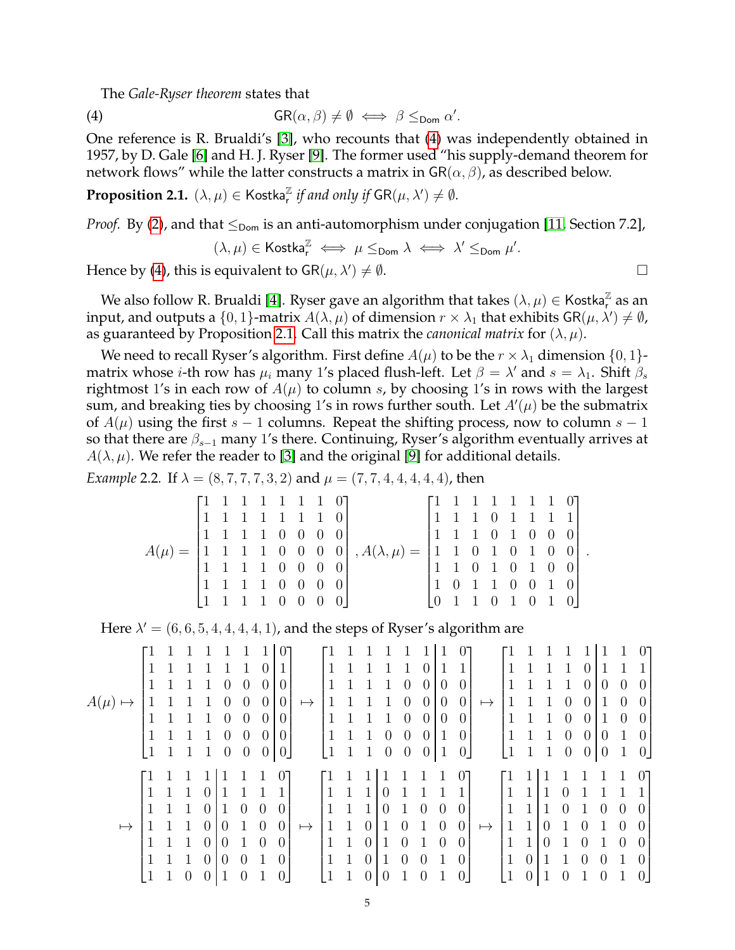The *Gale-Ryser theorem* states that

(4) 
$$
GR(\alpha, \beta) \neq \emptyset \iff \beta \leq_{\text{Dom}} \alpha'.
$$

One reference is R. Brualdi's [\[3\]](#page-23-5), who recounts that [\(4\)](#page-4-0) was independently obtained in 1957, by D. Gale [\[6\]](#page-23-6) and H. J. Ryser [\[9\]](#page-23-7). The former used "his supply-demand theorem for network flows" while the latter constructs a matrix in  $GR(\alpha, \beta)$ , as described below.

<span id="page-4-1"></span>**Proposition 2.1.**  $(\lambda, \mu) \in \mathsf{Kostka}_r^\mathbb{Z}$  *if and only if*  $\mathsf{GR}(\mu, \lambda') \neq \emptyset$ .

*Proof.* By [\(2\)](#page-1-1), and that  $\leq_{\text{Dom}}$  is an anti-automorphism under conjugation [\[11,](#page-23-1) Section 7.2],

<span id="page-4-0"></span>
$$
(\lambda,\mu)\in \operatorname{Kostka}^\mathbb{Z}_\mathsf{r} \iff \mu\leq_{\operatorname{\mathsf{Dom}}} \lambda \iff \lambda'\leq_{\operatorname{\mathsf{Dom}}}\mu'.
$$

Hence by [\(4\)](#page-4-0), this is equivalent to  $\mathsf{GR}(\mu, \lambda') \neq \emptyset$ .

We also follow R. Brualdi [\[4\]](#page-23-8). Ryser gave an algorithm that takes  $(\lambda,\mu)\in$  Kostka $_{\mathsf{r}}^{\mathbb{Z}}$  as an input, and outputs a  $\{0,1\}$ -matrix  $A(\lambda,\mu)$  of dimension  $r\times\lambda_1$  that exhibits GR $(\mu,\lambda')\neq\emptyset$ , as guaranteed by Proposition [2.1.](#page-4-1) Call this matrix the *canonical matrix* for  $(\lambda, \mu)$ .

We need to recall Ryser's algorithm. First define  $A(\mu)$  to be the  $r \times \lambda_1$  dimension  $\{0, 1\}$ matrix whose *i*-th row has  $\mu_i$  many 1's placed flush-left. Let  $\beta = \lambda'$  and  $s = \lambda_1$ . Shift  $\beta_s$ rightmost 1's in each row of  $A(\mu)$  to column s, by choosing 1's in rows with the largest sum, and breaking ties by choosing 1's in rows further south. Let  $A'(\mu)$  be the submatrix of  $A(\mu)$  using the first s – 1 columns. Repeat the shifting process, now to column s – 1 so that there are  $\beta_{s-1}$  many 1's there. Continuing, Ryser's algorithm eventually arrives at  $A(\lambda, \mu)$ . We refer the reader to [\[3\]](#page-23-5) and the original [\[9\]](#page-23-7) for additional details.

<span id="page-4-2"></span>*Example* 2.2. If  $\lambda = (8, 7, 7, 7, 3, 2)$  and  $\mu = (7, 7, 4, 4, 4, 4, 4)$ , then

| $\begin{bmatrix} 1 & 1 & 1 & 1 & 1 & 1 & 1 & 0 \end{bmatrix}$ |  |  |  |                                                                                                                                                 |  |  |  | $\begin{bmatrix} 1 & 1 & 1 & 1 & 1 & 1 & 1 & 0 \end{bmatrix}$ |  |
|---------------------------------------------------------------|--|--|--|-------------------------------------------------------------------------------------------------------------------------------------------------|--|--|--|---------------------------------------------------------------|--|
| $\begin{bmatrix} 1 & 1 & 1 & 1 & 1 & 1 & 1 & 0 \end{bmatrix}$ |  |  |  |                                                                                                                                                 |  |  |  | $\begin{bmatrix} 1 & 1 & 1 & 0 & 1 & 1 & 1 & 1 \end{bmatrix}$ |  |
| $\begin{bmatrix} 1 & 1 & 1 & 1 & 0 & 0 & 0 & 0 \end{bmatrix}$ |  |  |  |                                                                                                                                                 |  |  |  | 1 1 1 0 1 0 0 0                                               |  |
|                                                               |  |  |  | $\begin{bmatrix} 1 & 1 & 1 & 1 & 0 & 0 & 0 & 0 \end{bmatrix}$ , $A(\lambda, \mu) = \begin{bmatrix} 1 & 1 & 0 & 1 & 0 & 1 & 0 & 0 \end{bmatrix}$ |  |  |  |                                                               |  |
| $\begin{bmatrix} 1 & 1 & 1 & 1 & 0 & 0 & 0 & 0 \end{bmatrix}$ |  |  |  |                                                                                                                                                 |  |  |  | $\begin{bmatrix} 1 & 1 & 0 & 1 & 0 & 1 & 0 & 0 \end{bmatrix}$ |  |
| $\begin{bmatrix} 1 & 1 & 1 & 1 & 0 & 0 & 0 & 0 \end{bmatrix}$ |  |  |  |                                                                                                                                                 |  |  |  | $\begin{bmatrix} 1 & 0 & 1 & 1 & 0 & 0 & 1 & 0 \end{bmatrix}$ |  |
| $\begin{bmatrix} 1 & 1 & 1 & 1 & 0 & 0 & 0 & 0 \end{bmatrix}$ |  |  |  |                                                                                                                                                 |  |  |  | $\begin{bmatrix} 0 & 1 & 1 & 0 & 1 & 0 & 1 & 0 \end{bmatrix}$ |  |
|                                                               |  |  |  |                                                                                                                                                 |  |  |  |                                                               |  |

Here  $\lambda' = (6, 6, 5, 4, 4, 4, 4, 1)$ , and the steps of Ryser's algorithm are

$$
A(\mu) \mapsto \begin{bmatrix} 1 & 1 & 1 & 1 & 1 & 1 & 1 \\ 1 & 1 & 1 & 1 & 1 & 1 & 0 & 0 \\ 1 & 1 & 1 & 1 & 1 & 0 & 0 & 0 \\ 1 & 1 & 1 & 1 & 1 & 0 & 0 & 0 \\ 1 & 1 & 1 & 1 & 1 & 0 & 0 & 0 \\ 1 & 1 & 1 & 1 & 1 & 0 & 0 & 0 \\ 1 & 1 & 1 & 1 & 1 & 0 & 0 & 0 \\ 1 & 1 & 1 & 1 & 1 & 0 & 0 & 0 \\ 1 & 1 & 1 & 1 & 1 & 0 & 0 & 0 \\ 1 & 1 & 1 & 1 & 1 & 0 & 0 & 0 \\ 1 & 1 & 1 & 1 & 1 & 0 & 0 & 0 \\ 1 & 1 & 1 & 1 & 0 & 0 & 0 & 0 \\ 1 & 1 & 1 & 1 & 0 & 0 & 0 & 0 \\ 1 & 1 & 1 & 1 & 0 & 0 & 0 & 0 \\ 1 & 1 & 1 & 1 & 0 & 0 & 0 & 0 \\ 1 & 1 & 1 & 1 & 0 & 0 & 0 & 0 \\ 1 & 1 & 1 & 1 & 0 & 0 & 0 & 0 \\ 1 & 1 & 1 & 1 & 0 & 0 & 0 & 0 \\ 1 & 1 & 1 & 1 & 0 & 0 & 0 & 0 \\ 1 & 1 & 1 & 1 & 0 & 0 & 0 & 0 \\ 1 & 1 & 1 & 0 & 0 & 1 & 0 & 0 \\ 1 & 1 & 1 & 0 & 0 & 1 & 0 & 0 \\ 1 & 1 & 1 & 0 & 0 & 1 & 0 & 0 \\ 1 & 1 & 1 & 0 & 0 & 1 & 0 & 0 \\ 1 & 1 & 1 & 0 & 0 & 1 & 0 & 0 \\ 1 & 1 & 1 & 0 & 0 & 1 & 0 & 0 \\ 1 & 1 & 1 & 0 & 0 & 1 & 0 & 0 \\ 1 & 1 & 1 & 0 & 0 & 1 & 0 & 0 \\ 1 & 1 & 1 & 0 & 0 & 1 & 0 & 0 \\ 1 & 1 & 1 & 0 & 0 & 1 & 0 & 0 \\ 1 & 1 & 1 & 0 & 0 & 1 & 0 & 1 \\ 1 & 1
$$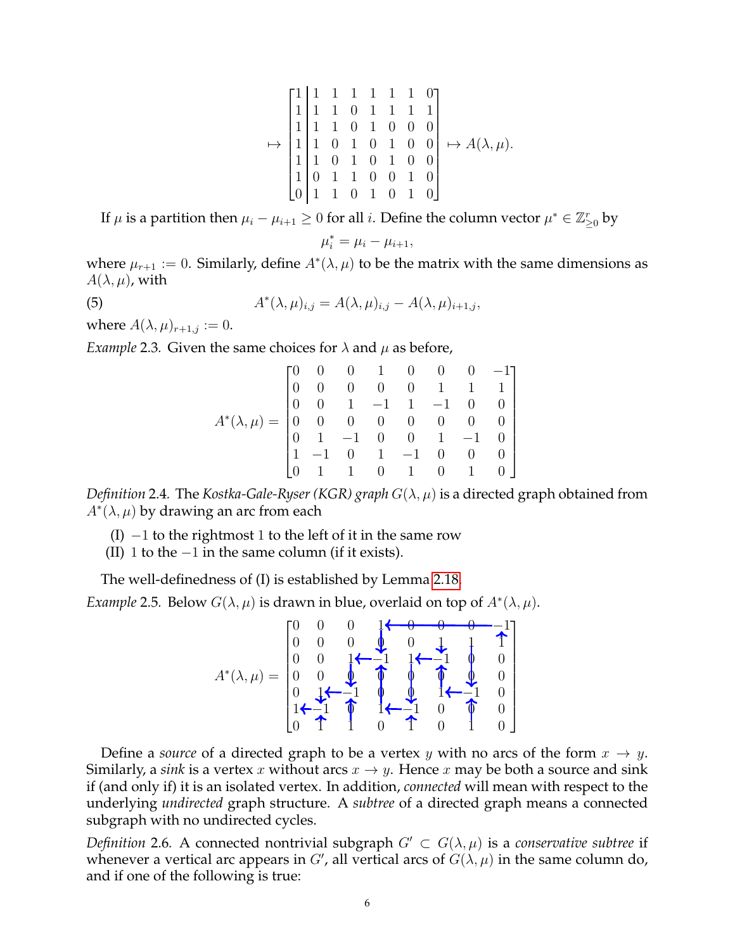$$
\mapsto \begin{bmatrix} 1 & 1 & 1 & 1 & 1 & 1 & 0 \\ 1 & 1 & 1 & 0 & 1 & 1 & 1 & 1 \\ 1 & 1 & 1 & 0 & 1 & 0 & 0 & 0 \\ 1 & 1 & 0 & 1 & 0 & 1 & 0 & 0 \\ 1 & 1 & 0 & 1 & 0 & 1 & 0 & 0 \\ 1 & 0 & 1 & 1 & 0 & 0 & 1 & 0 \\ 0 & 1 & 1 & 0 & 1 & 0 & 1 & 0 \end{bmatrix} \mapsto A(\lambda, \mu).
$$

If  $\mu$  is a partition then  $\mu_i - \mu_{i+1} \geq 0$  for all  $i$ . Define the column vector  $\mu^* \in \mathbb{Z}_{\geq 0}^r$  by

$$
\mu_i^* = \mu_i - \mu_{i+1},
$$

where  $\mu_{r+1} := 0$ . Similarly, define  $A^*(\lambda, \mu)$  to be the matrix with the same dimensions as  $A(\lambda, \mu)$ , with

(5) 
$$
A^*(\lambda, \mu)_{i,j} = A(\lambda, \mu)_{i,j} - A(\lambda, \mu)_{i+1,j},
$$

where  $A(\lambda, \mu)_{r+1,j} := 0$ .

*Example* 2.3. Given the same choices for  $\lambda$  and  $\mu$  as before,

<span id="page-5-0"></span>

| $A^*(\lambda,\mu)= \begin{bmatrix} 0 & 0 & 0 & 1 & 0 & 0 & 0 & -1 \\ 0 & 0 & 0 & 0 & 0 & 1 & 1 & 1 \\ 0 & 0 & 1 & -1 & 1 & -1 & 0 & 0 \\ 0 & 0 & 0 & 0 & 0 & 0 & 0 & 0 \\ 0 & 1 & -1 & 0 & 0 & 1 & -1 & 0 \\ 1 & -1 & 0 & 1 & -1 & 0 & 0 & 0 \\ 0 & 1 & 1 & 0 & 1 & 0 & 1 & 0 \end{bmatrix}$ |  |  |  |  |
|----------------------------------------------------------------------------------------------------------------------------------------------------------------------------------------------------------------------------------------------------------------------------------------------|--|--|--|--|

*Definition* 2.4. The *Kostka-Gale-Ryser* (*KGR*) *graph*  $G(\lambda, \mu)$  is a directed graph obtained from  $A^*(\lambda, \mu)$  by drawing an arc from each

 $(I)$  –1 to the rightmost 1 to the left of it in the same row

(II) 1 to the  $-1$  in the same column (if it exists).

The well-definedness of (I) is established by Lemma [2.18.](#page-8-0)

*Example* 2.5*.* Below  $G(\lambda, \mu)$  is drawn in blue, overlaid on top of  $A^*(\lambda, \mu)$ *.* 

$$
A^*(\lambda,\mu)=\begin{bmatrix}0 & 0 & 0 & 1 & 0 & 0 & -1 \\ 0 & 0 & 0 & 0 & 0 & 1 & 1 \\ 0 & 0 & 1 & -1 & 1 & 0 & 0 \\ 0 & 0 & 0 & 0 & 0 & 1 & 1 \\ 0 & 1 & -1 & 0 & 0 & 1 & 0 \\ 0 & 1 & 1 & 0 & 1 & 0 & 1 \end{bmatrix}
$$

Define a *source* of a directed graph to be a vertex y with no arcs of the form  $x \to y$ . Similarly, a *sink* is a vertex x without arcs  $x \rightarrow y$ . Hence x may be both a source and sink if (and only if) it is an isolated vertex. In addition, *connected* will mean with respect to the underlying *undirected* graph structure. A *subtree* of a directed graph means a connected subgraph with no undirected cycles.

*Definition* 2.6. A connected nontrivial subgraph  $G' \subset G(\lambda, \mu)$  is a *conservative subtree* if whenever a vertical arc appears in  $G'$ , all vertical arcs of  $G(\lambda, \mu)$  in the same column do, and if one of the following is true: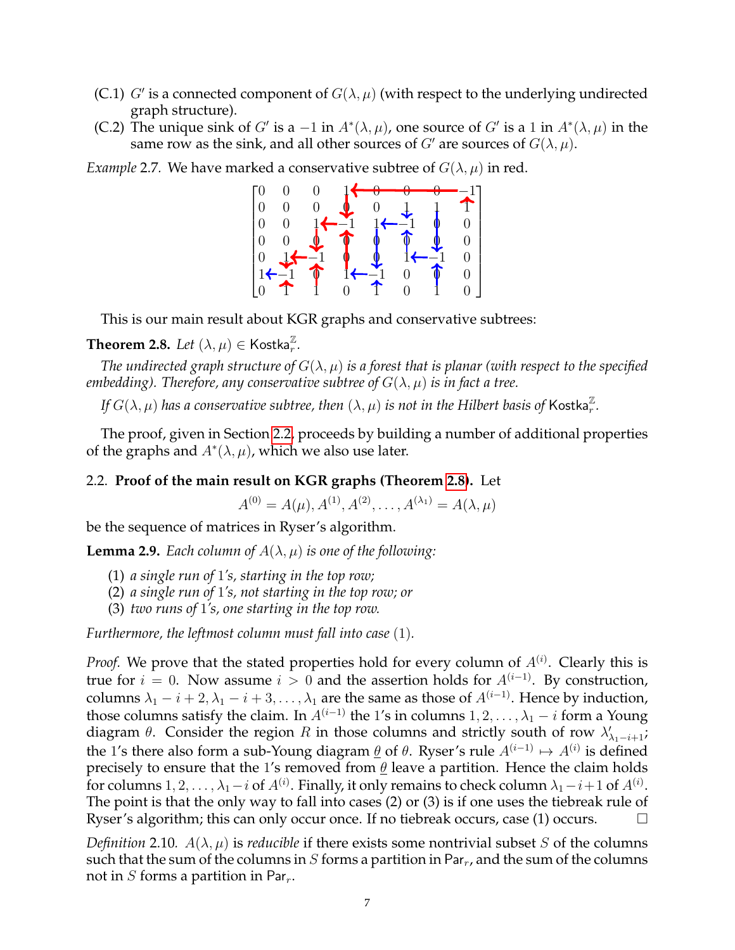- (C.1) G' is a connected component of  $G(\lambda, \mu)$  (with respect to the underlying undirected graph structure).
- (C.2) The unique sink of G' is a  $-1$  in  $A^*(\lambda,\mu)$ , one source of G' is a 1 in  $A^*(\lambda,\mu)$  in the same row as the sink, and all other sources of  $G'$  are sources of  $G(\lambda, \mu)$ .

*Example* 2.7. We have marked a conservative subtree of  $G(\lambda, \mu)$  in red.



This is our main result about KGR graphs and conservative subtrees:

# <span id="page-6-1"></span>**Theorem 2.8.** Let  $(\lambda, \mu) \in \mathsf{Kostka}_r^{\mathbb{Z}}$ .

*The undirected graph structure of*  $G(\lambda, \mu)$  *is a forest that is planar (with respect to the specified embedding*). Therefore, any conservative subtree of  $G(\lambda, \mu)$  is in fact a tree.

*If*  $G(\lambda, \mu)$  *has a conservative subtree, then*  $(\lambda, \mu)$  *is not in the Hilbert basis of <code>Kostka* $\frac{\pi}{r}$ *.</code>* 

The proof, given in Section [2.2,](#page-6-0) proceeds by building a number of additional properties of the graphs and  $A^*(\lambda, \mu)$ , which we also use later.

# <span id="page-6-0"></span>2.2. **Proof of the main result on KGR graphs (Theorem [2.8\)](#page-6-1).** Let

 $A^{(0)} = A(\mu), A^{(1)}, A^{(2)}, \ldots, A^{(\lambda_1)} = A(\lambda, \mu)$ 

be the sequence of matrices in Ryser's algorithm.

<span id="page-6-3"></span>**Lemma 2.9.** *Each column of*  $A(\lambda, \mu)$  *is one of the following:* 

- (1) *a single run of* 1*'s, starting in the top row;*
- (2) *a single run of* 1*'s, not starting in the top row; or*
- (3) *two runs of* 1*'s, one starting in the top row.*

*Furthermore, the leftmost column must fall into case* (1)*.*

*Proof.* We prove that the stated properties hold for every column of  $A^{(i)}$ . Clearly this is true for  $i = 0$ . Now assume  $i > 0$  and the assertion holds for  $A^{(i-1)}$ . By construction, columns  $\lambda_1 - i + 2, \lambda_1 - i + 3, \ldots, \lambda_1$  are the same as those of  $A^{(i-1)}$ . Hence by induction, those columns satisfy the claim. In  $A^{(i-1)}$  the 1's in columns  $1, 2, \ldots, \lambda_1 - i$  form a Young diagram  $\theta$ . Consider the region R in those columns and strictly south of row  $\lambda'_{\lambda_1-i+1}$ ; the 1's there also form a sub-Young diagram  $\underline{\theta}$  of  $\theta$ . Ryser's rule  $A^{(i-1)} \mapsto A^{(i)}$  is defined precisely to ensure that the 1's removed from  $\theta$  leave a partition. Hence the claim holds for columns  $1,2,\ldots,\lambda_1-i$  of  $A^{(i)}.$  Finally, it only remains to check column  $\lambda_1-i+1$  of  $A^{(i)}.$ The point is that the only way to fall into cases (2) or (3) is if one uses the tiebreak rule of Ryser's algorithm; this can only occur once. If no tiebreak occurs, case (1) occurs.  $\Box$ 

<span id="page-6-2"></span>*Definition* 2.10*.*  $A(\lambda, \mu)$  is *reducible* if there exists some nontrivial subset S of the columns such that the sum of the columns in S forms a partition in Par<sub>r</sub>, and the sum of the columns not in  $S$  forms a partition in Par<sub>r</sub>.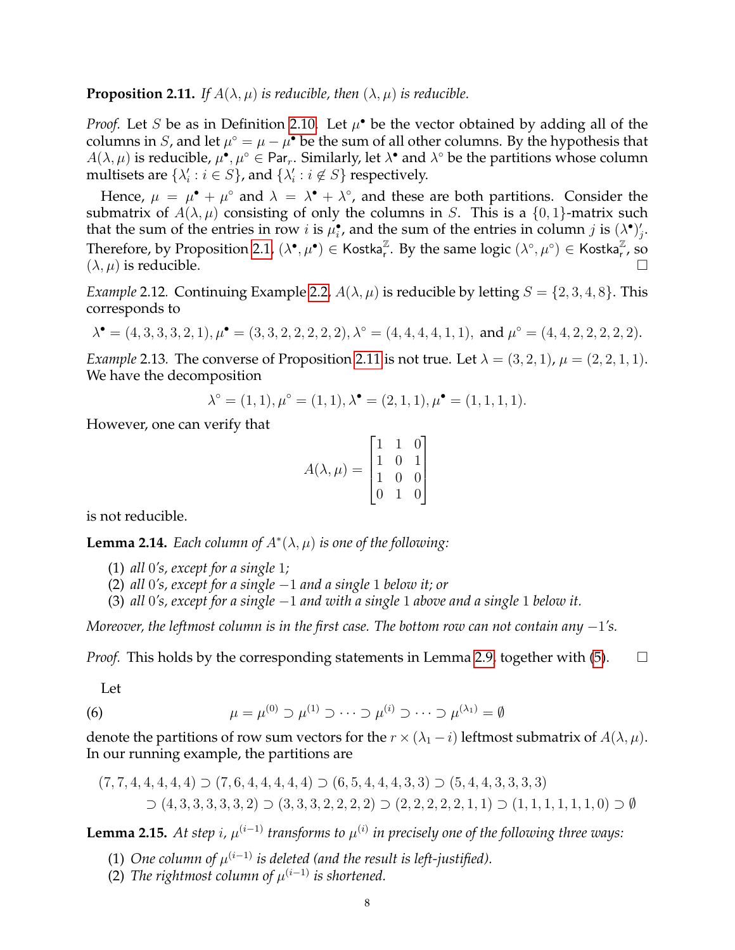<span id="page-7-1"></span>**Proposition 2.11.** *If*  $A(\lambda, \mu)$  *is reducible, then*  $(\lambda, \mu)$  *is reducible.* 

*Proof.* Let *S* be as in Definition [2.10.](#page-6-2) Let  $\mu^{\bullet}$  be the vector obtained by adding all of the columns in S, and let  $\mu^{\circ} = \mu - \mu^{\bullet}$  be the sum of all other columns. By the hypothesis that  $A(\lambda,\mu)$  is reducible,  $\mu^{\bullet},\mu^{\circ}\in$  Par<sub>r</sub>. Similarly, let  $\lambda^{\bullet}$  and  $\lambda^{\circ}$  be the partitions whose column multisets are  $\{\lambda'_i : i \in S\}$ , and  $\{\lambda'_i : i \notin S\}$  respectively.

Hence,  $\mu = \mu^{\bullet} + \mu^{\circ}$  and  $\lambda = \lambda^{\bullet} + \lambda^{\circ}$ , and these are both partitions. Consider the submatrix of  $A(\lambda, \mu)$  consisting of only the columns in S. This is a  $\{0, 1\}$ -matrix such that the sum of the entries in row *i* is  $\mu_i^{\bullet}$ , and the sum of the entries in column *j* is  $(\lambda^{\bullet})'_j$ . Therefore, by Proposition [2.1,](#page-4-1)  $(\lambda^{\bullet}, \mu^{\bullet}) \in \mathsf{Kostka}_{r}^{\mathbb{Z}}$ . By the same logic  $(\lambda^{\circ}, \mu^{\circ}) \in \mathsf{Kostka}_{r}^{\mathbb{Z}}$ , so  $(\lambda, \mu)$  is reducible.

*Example* 2.12*.* Continuing Example [2.2,](#page-4-2)  $A(\lambda, \mu)$  is reducible by letting  $S = \{2, 3, 4, 8\}$ . This corresponds to

$$
\lambda^{\bullet} = (4,3,3,3,2,1), \mu^{\bullet} = (3,3,2,2,2,2,2), \lambda^{\circ} = (4,4,4,4,1,1), \text{ and } \mu^{\circ} = (4,4,2,2,2,2,2).
$$

<span id="page-7-0"></span>*Example* 2.13. The converse of Proposition [2.11](#page-7-1) is not true. Let  $\lambda = (3, 2, 1)$ ,  $\mu = (2, 2, 1, 1)$ . We have the decomposition

$$
\lambda^{\circ} = (1, 1), \mu^{\circ} = (1, 1), \lambda^{\bullet} = (2, 1, 1), \mu^{\bullet} = (1, 1, 1, 1).
$$

However, one can verify that

$$
A(\lambda, \mu) = \begin{bmatrix} 1 & 1 & 0 \\ 1 & 0 & 1 \\ 1 & 0 & 0 \\ 0 & 1 & 0 \end{bmatrix}
$$

is not reducible.

<span id="page-7-3"></span>**Lemma 2.14.** *Each column of*  $A^*(\lambda, \mu)$  *is one of the following:* 

- (1) *all* 0*'s, except for a single* 1*;*
- (2) *all* 0*'s, except for a single* −1 *and a single* 1 *below it; or*
- (3) *all* 0*'s, except for a single* −1 *and with a single* 1 *above and a single* 1 *below it.*

*Moreover, the leftmost column is in the first case. The bottom row can not contain any* −1*'s.*

*Proof.* This holds by the corresponding statements in Lemma [2.9,](#page-6-3) together with  $(5)$ .  $\Box$ 

Let

(6) 
$$
\mu = \mu^{(0)} \supset \mu^{(1)} \supset \cdots \supset \mu^{(i)} \supset \cdots \supset \mu^{(\lambda_1)} = \emptyset
$$

denote the partitions of row sum vectors for the  $r \times (\lambda_1 - i)$  leftmost submatrix of  $A(\lambda, \mu)$ . In our running example, the partitions are

$$
(7,7,4,4,4,4,4) \supset (7,6,4,4,4,4,4) \supset (6,5,4,4,4,3,3) \supset (5,4,4,3,3,3,3)
$$
  
 
$$
\supset (4,3,3,3,3,3,2) \supset (3,3,3,2,2,2,2) \supset (2,2,2,2,2,1,1) \supset (1,1,1,1,1,1,0) \supset \emptyset
$$

<span id="page-7-2"></span>**Lemma 2.15.** At step i,  $\mu^{(i-1)}$  transforms to  $\mu^{(i)}$  in precisely one of the following three ways:

- (1) One column of  $\mu^{(i-1)}$  is deleted (and the result is left-justified).
- (2) The rightmost column of  $\mu^{(i-1)}$  is shortened.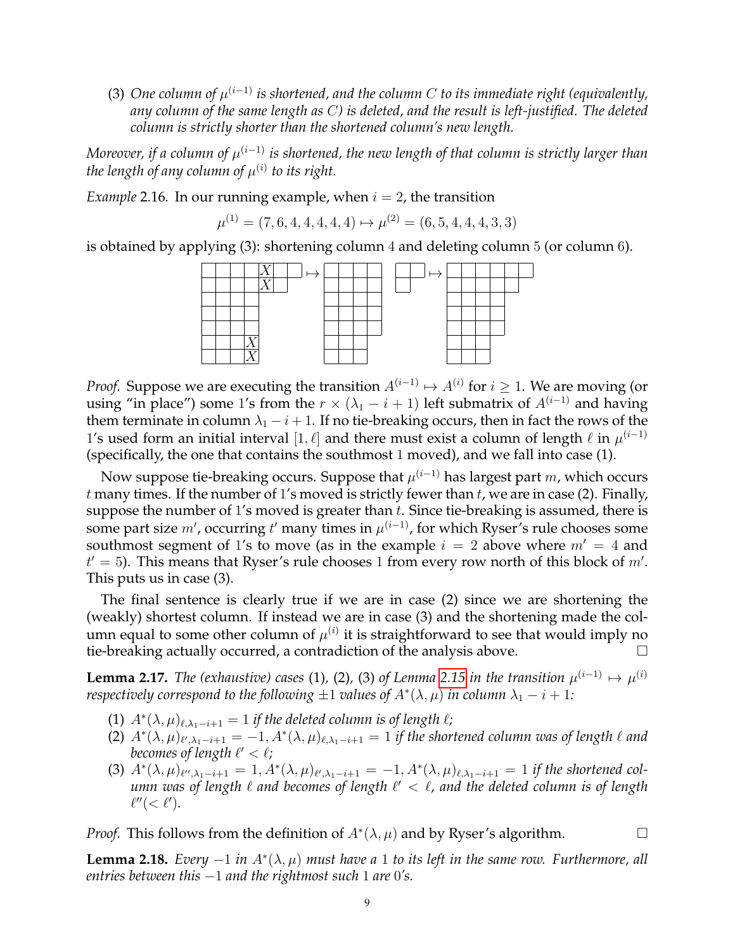(3) One column of  $\mu^{(i-1)}$  is shortened, and the column C to its immediate right (equivalently, *any column of the same length as* C*) is deleted, and the result is left-justified. The deleted column is strictly shorter than the shortened column's new length.*

Moreover, if a column of  $\mu^{(i-1)}$  is shortened, the new length of that column is strictly larger than the length of any column of  $\mu^{(i)}$  to its right.

*Example* 2.16*.* In our running example, when  $i = 2$ , the transition

$$
\mu^{(1)} = (7, 6, 4, 4, 4, 4, 4) \mapsto \mu^{(2)} = (6, 5, 4, 4, 4, 3, 3)
$$

is obtained by applying  $(3)$ : shortening column 4 and deleting column 5 (or column 6).



*Proof.* Suppose we are executing the transition  $A^{(i-1)} \mapsto A^{(i)}$  for  $i \geq 1$ . We are moving (or using "in place") some 1's from the  $r \times (\lambda_1 - i + 1)$  left submatrix of  $A^{(i-1)}$  and having them terminate in column  $\lambda_1 - i + 1$ . If no tie-breaking occurs, then in fact the rows of the 1's used form an initial interval  $[1, \ell]$  and there must exist a column of length  $\ell$  in  $\mu^{(i-1)}$ (specifically, the one that contains the southmost 1 moved), and we fall into case (1).

Now suppose tie-breaking occurs. Suppose that  $\mu^{(i-1)}$  has largest part  $m$ , which occurs  $t$  many times. If the number of 1's moved is strictly fewer than  $t$ , we are in case (2). Finally, suppose the number of 1's moved is greater than  $t$ . Since tie-breaking is assumed, there is some part size  $m'$ , occurring  $t'$  many times in  $\mu^{(i-1)}$ , for which Ryser's rule chooses some southmost segment of 1's to move (as in the example  $i = 2$  above where  $m' = 4$  and  $t' = 5$ ). This means that Ryser's rule chooses 1 from every row north of this block of  $m'$ . This puts us in case (3).

The final sentence is clearly true if we are in case (2) since we are shortening the (weakly) shortest column. If instead we are in case (3) and the shortening made the column equal to some other column of  $\mu^{(i)}$  it is straightforward to see that would imply no tie-breaking actually occurred, a contradiction of the analysis above.

<span id="page-8-1"></span>**Lemma 2.17.** *The (exhaustive) cases* (1), (2), (3) of Lemma [2.15](#page-7-2) in the transition  $\mu^{(i-1)} \mapsto \mu^{(i)}$ *respectively correspond to the following*  $\pm 1$  *values of*  $A^*(\lambda, \mu)$  *in column*  $\lambda_1 - i + 1$ *:* 

- (1)  $A^*(\lambda, \mu)_{\ell, \lambda_1 i + 1} = 1$  *if the deleted column is of length*  $\ell$ ;
- (2)  $A^*(\lambda, \mu)_{\ell', \lambda_1 i + 1} = -1, A^*(\lambda, \mu)_{\ell, \lambda_1 i + 1} = 1$  *if the shortened column was of length*  $\ell$  *and* becomes of length  $\ell' < \ell$ ;
- (3)  $A^*(\lambda,\mu)_{\ell'',\lambda_1-i+1} = 1, A^*(\lambda,\mu)_{\ell',\lambda_1-i+1} = -1, A^*(\lambda,\mu)_{\ell,\lambda_1-i+1} = 1$  if the shortened column was of length  $\ell$  and becomes of length  $\ell' < \ell$ , and the deleted column is of length  $\ell''(<\ell').$

*Proof.* This follows from the definition of  $A^*(\lambda, \mu)$  and by Ryser's algorithm.

<span id="page-8-0"></span>**Lemma 2.18.** *Every*  $-1$  *in*  $A^*(\lambda, \mu)$  *must have a* 1 *to its left in the same row. Furthermore, all entries between this* −1 *and the rightmost such* 1 *are* 0*'s.*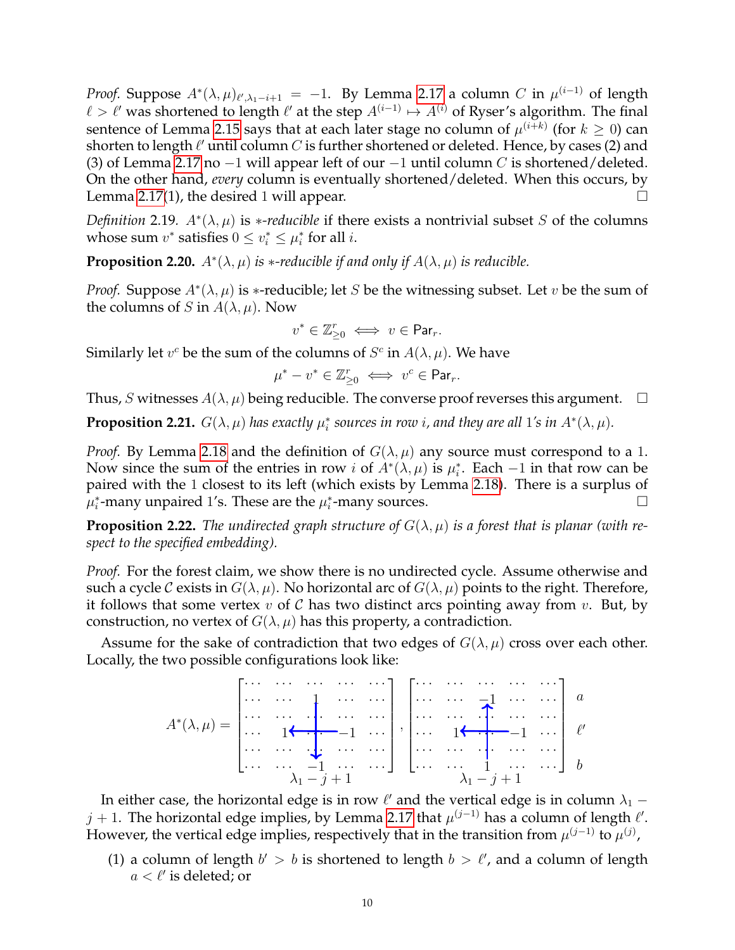*Proof.* Suppose  $A^*(\lambda, \mu)_{\ell', \lambda_1 - i + 1} = -1$ . By Lemma [2.17](#page-8-1) a column  $C$  in  $\mu^{(i-1)}$  of length  $\ell > \ell'$  was shortened to length  $\ell'$  at the step  $A^{(i-1)} \mapsto A^{(i)}$  of Ryser's algorithm. The final sentence of Lemma [2.15](#page-7-2) says that at each later stage no column of  $\mu^{(i+k)}$  (for  $k\geq 0$ ) can shorten to length  $\ell'$  until column  $C$  is further shortened or deleted. Hence, by cases (2) and (3) of Lemma [2.17](#page-8-1) no  $-1$  will appear left of our  $-1$  until column C is shortened/deleted. On the other hand, *every* column is eventually shortened/deleted. When this occurs, by Lemma [2.17\(](#page-8-1)1), the desired 1 will appear.  $\Box$ 

*Definition* 2.19.  $A^*(\lambda, \mu)$  is *\*-reducible* if there exists a nontrivial subset S of the columns whose sum  $v^*$  satisfies  $0 \le v_i^* \le \mu_i^*$  for all  $i$ .

<span id="page-9-2"></span>**Proposition 2.20.**  $A^*(\lambda, \mu)$  *is* \*-reducible *if and only if*  $A(\lambda, \mu)$  *is reducible.* 

*Proof.* Suppose  $A^*(\lambda, \mu)$  is \*-reducible; let S be the witnessing subset. Let v be the sum of the columns of S in  $A(\lambda, \mu)$ . Now

$$
v^* \in \mathbb{Z}_{\geq 0}^r \iff v \in \mathsf{Par}_r.
$$

Similarly let  $v^c$  be the sum of the columns of  $S^c$  in  $A(\lambda, \mu)$ . We have

$$
\mu^* - v^* \in \mathbb{Z}_{\geq 0}^r \iff v^c \in \mathsf{Par}_r.
$$

Thus, S witnesses  $A(\lambda, \mu)$  being reducible. The converse proof reverses this argument.  $\Box$ 

<span id="page-9-0"></span>**Proposition 2.21.**  $G(\lambda, \mu)$  has exactly  $\mu_i^*$  sources in row *i*, and they are all 1's in  $A^*(\lambda, \mu)$ .

*Proof.* By Lemma [2.18](#page-8-0) and the definition of  $G(\lambda, \mu)$  any source must correspond to a 1. Now since the sum of the entries in row *i* of  $A^*(\lambda,\mu)$  is  $\mu_i^*$ . Each  $-1$  in that row can be paired with the 1 closest to its left (which exists by Lemma [2.18\)](#page-8-0). There is a surplus of  $\mu_i^*$ -many unpaired 1's. These are the  $\mu_i^*$ -many sources.

<span id="page-9-1"></span>**Proposition 2.22.** The undirected graph structure of  $G(\lambda, \mu)$  is a forest that is planar (with re*spect to the specified embedding).*

*Proof.* For the forest claim, we show there is no undirected cycle. Assume otherwise and such a cycle C exists in  $G(\lambda, \mu)$ . No horizontal arc of  $G(\lambda, \mu)$  points to the right. Therefore, it follows that some vertex  $v$  of  $\mathcal C$  has two distinct arcs pointing away from  $v$ . But, by construction, no vertex of  $G(\lambda, \mu)$  has this property, a contradiction.

Assume for the sake of contradiction that two edges of  $G(\lambda, \mu)$  cross over each other. Locally, the two possible configurations look like:

A ∗ (λ, µ) = · · · · · · · · · · · · · · · · · · · · · 1 · · · · · · · · · · · · · · · · · · · · · · · · 1 · · · −1 · · · · · · · · · · · · · · · · · · · · · · · · −1 · · · · · · , · · · · · · · · · · · · · · · · · · · · · −1 · · · · · · · · · · · · · · · · · · · · · · · · 1 · · · −1 · · · · · · · · · · · · · · · · · · · · · · · · 1 · · · · · · λ<sup>1</sup> − j + 1 λ<sup>1</sup> − j + 1 ` 0 b a

In either case, the horizontal edge is in row  $\ell'$  and the vertical edge is in column  $\lambda_1$  –  $j+1$ . The horizontal edge implies, by Lemma [2.17](#page-8-1) that  $\mu^{(j-1)}$  has a column of length  $\ell'.$ However, the vertical edge implies, respectively that in the transition from  $\mu^{(j-1)}$  to  $\mu^{(j)}$ ,

(1) a column of length  $b' > b$  is shortened to length  $b > \ell'$ , and a column of length  $a < l'$  is deleted; or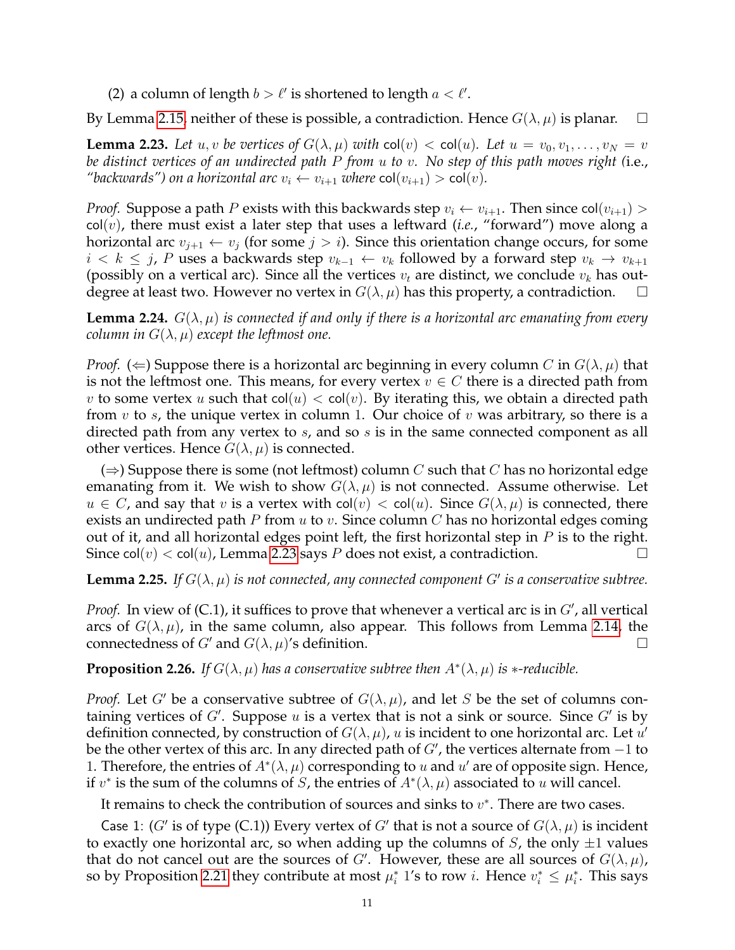(2) a column of length  $b > l'$  is shortened to length  $a < l'$ .

By Lemma [2.15,](#page-7-2) neither of these is possible, a contradiction. Hence  $G(\lambda, \mu)$  is planar.  $\Box$ 

<span id="page-10-0"></span>**Lemma 2.23.** Let  $u, v$  be vertices of  $G(\lambda, \mu)$  with  $col(v) < col(u)$ . Let  $u = v_0, v_1, \ldots, v_N = v$ *be distinct vertices of an undirected path* P *from* u *to* v*. No step of this path moves right (*i.e., *"backwards") on a horizontal arc*  $v_i \leftarrow v_{i+1}$  *where* col $(v_{i+1}) > \text{col}(v)$ .

*Proof.* Suppose a path P exists with this backwards step  $v_i \leftarrow v_{i+1}$ . Then since col $(v_{i+1})$ col(v), there must exist a later step that uses a leftward (*i.e.*, "forward") move along a horizontal arc  $v_{i+1} \leftarrow v_i$  (for some  $j > i$ ). Since this orientation change occurs, for some  $i < k \leq j$ , P uses a backwards step  $v_{k-1} \leftarrow v_k$  followed by a forward step  $v_k \rightarrow v_{k+1}$ (possibly on a vertical arc). Since all the vertices  $v_t$  are distinct, we conclude  $v_k$  has outdegree at least two. However no vertex in  $G(\lambda, \mu)$  has this property, a contradiction.  $\Box$ 

<span id="page-10-3"></span>**Lemma 2.24.**  $G(\lambda, \mu)$  *is connected if and only if there is a horizontal arc emanating from every column in*  $G(\lambda, \mu)$  *except the leftmost one.* 

*Proof.* ( $\Leftarrow$ ) Suppose there is a horizontal arc beginning in every column C in  $G(\lambda, \mu)$  that is not the leftmost one. This means, for every vertex  $v \in C$  there is a directed path from v to some vertex u such that  $col(u) < col(v)$ . By iterating this, we obtain a directed path from  $v$  to  $s$ , the unique vertex in column 1. Our choice of  $v$  was arbitrary, so there is a directed path from any vertex to s, and so s is in the same connected component as all other vertices. Hence  $G(\lambda, \mu)$  is connected.

( $\Rightarrow$ ) Suppose there is some (not leftmost) column C such that C has no horizontal edge emanating from it. We wish to show  $G(\lambda, \mu)$  is not connected. Assume otherwise. Let  $u \in C$ , and say that v is a vertex with col(v)  $<$  col(u). Since  $G(\lambda, \mu)$  is connected, there exists an undirected path  $P$  from  $u$  to  $v$ . Since column  $C$  has no horizontal edges coming out of it, and all horizontal edges point left, the first horizontal step in  $P$  is to the right. Since col $(v) <$  col $(u)$ , Lemma [2.23](#page-10-0) says P does not exist, a contradiction.

<span id="page-10-2"></span>**Lemma 2.25.** If  $G(\lambda, \mu)$  is not connected, any connected component  $G'$  is a conservative subtree.

*Proof.* In view of  $(C.1)$ , it suffices to prove that whenever a vertical arc is in  $G'$ , all vertical arcs of  $G(\lambda, \mu)$ , in the same column, also appear. This follows from Lemma [2.14,](#page-7-3) the connectedness of G' and  $G(\lambda, \mu)$ 's definition.

<span id="page-10-1"></span>**Proposition 2.26.** If  $G(\lambda, \mu)$  has a conservative subtree then  $A^*(\lambda, \mu)$  is  $*$ -reducible.

*Proof.* Let G' be a conservative subtree of  $G(\lambda, \mu)$ , and let S be the set of columns containing vertices of  $G'$ . Suppose u is a vertex that is not a sink or source. Since  $G'$  is by definition connected, by construction of  $G(\lambda, \mu)$ , u is incident to one horizontal arc. Let  $u'$ be the other vertex of this arc. In any directed path of  $G'$ , the vertices alternate from  $-1$  to 1. Therefore, the entries of  $A^*(\lambda, \mu)$  corresponding to u and u' are of opposite sign. Hence, if  $v^*$  is the sum of the columns of S, the entries of  $A^*(\lambda, \mu)$  associated to u will cancel.

It remains to check the contribution of sources and sinks to  $v^*$ . There are two cases.

Case 1: (G' is of type (C.1)) Every vertex of G' that is not a source of  $G(\lambda, \mu)$  is incident to exactly one horizontal arc, so when adding up the columns of  $S$ , the only  $\pm 1$  values that do not cancel out are the sources of G'. However, these are all sources of  $G(\lambda, \mu)$ , so by Proposition [2.21](#page-9-0) they contribute at most  $\mu_i^*$  1's to row *i*. Hence  $v_i^* \leq \mu_i^*$ . This says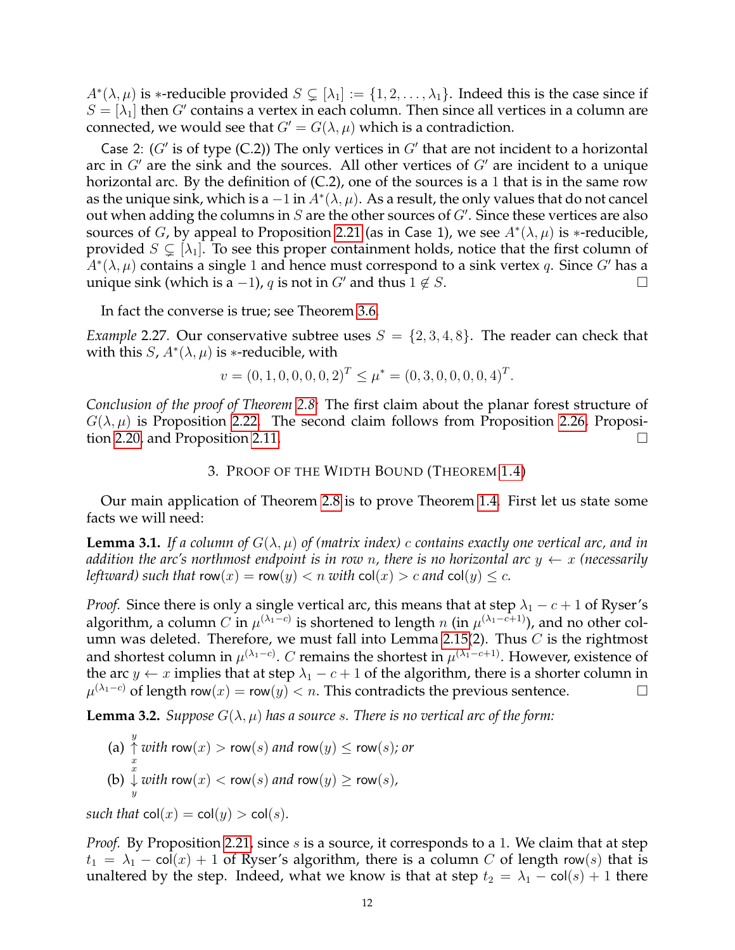$A^*(\lambda,\mu)$  is \*-reducible provided  $S \subsetneq [\lambda_1] := \{1,2,\ldots,\lambda_1\}$ . Indeed this is the case since if  $S = [\lambda_1]$  then G' contains a vertex in each column. Then since all vertices in a column are connected, we would see that  $G' = G(\lambda, \mu)$  which is a contradiction.

Case 2: ( $G'$  is of type (C.2)) The only vertices in  $G'$  that are not incident to a horizontal arc in  $G'$  are the sink and the sources. All other vertices of  $G'$  are incident to a unique horizontal arc. By the definition of  $(C.2)$ , one of the sources is a 1 that is in the same row as the unique sink, which is a  $-1$  in  $A^*(\lambda,\mu).$  As a result, the only values that do not cancel out when adding the columns in  $S$  are the other sources of  $G'$ . Since these vertices are also sources of G, by appeal to Proposition [2.21](#page-9-0) (as in Case 1), we see  $A^*(\lambda,\mu)$  is \*-reducible, provided  $S \subsetneq [\lambda_1]$ . To see this proper containment holds, notice that the first column of  $\bar{A}^*(\lambda,\mu)$  contains a single 1 and hence must correspond to a sink vertex  $q.$  Since  $G'$  has a unique sink (which is a −1), q is not in G' and thus  $1 \notin S$ .

In fact the converse is true; see Theorem [3.6.](#page-14-0)

*Example* 2.27. Our conservative subtree uses  $S = \{2, 3, 4, 8\}$ . The reader can check that with this  $S$ ,  $A^*(\lambda, \mu)$  is \*-reducible, with

$$
v = (0, 1, 0, 0, 0, 0, 2)^{T} \le \mu^* = (0, 3, 0, 0, 0, 0, 4)^{T}.
$$

*Conclusion of the proof of Theorem [2.8:](#page-6-1)* The first claim about the planar forest structure of  $G(\lambda, \mu)$  is Proposition [2.22.](#page-9-1) The second claim follows from Proposition [2.26,](#page-10-1) Proposition [2.20,](#page-9-2) and Proposition [2.11.](#page-7-1)

# 3. PROOF OF THE WIDTH BOUND (THEOREM [1.4\)](#page-2-1)

<span id="page-11-0"></span>Our main application of Theorem [2.8](#page-6-1) is to prove Theorem [1.4.](#page-2-1) First let us state some facts we will need:

<span id="page-11-1"></span>**Lemma 3.1.** If a column of  $G(\lambda, \mu)$  of (matrix index) c contains exactly one vertical arc, and in *addition the arc's northmost endpoint is in row n, there is no horizontal arc*  $y \leftarrow x$  *(necessarily leftward)* such that  $row(x) = row(y) < n$  *with*  $col(x) > c$  *and*  $col(y) \leq c$ *.* 

*Proof.* Since there is only a single vertical arc, this means that at step  $\lambda_1 - c + 1$  of Ryser's algorithm, a column  $C$  in  $\mu^{(\lambda_1 - c)}$  is shortened to length  $n$  (in  $\mu^{(\lambda_1 - c + 1)}$ ), and no other col-umn was deleted. Therefore, we must fall into Lemma [2.15\(](#page-7-2)2). Thus  $C$  is the rightmost and shortest column in  $\mu^{(\lambda_1 - c)}$ .  $C$  remains the shortest in  $\mu^{(\lambda_1 - c + 1)}$ . However, existence of the arc  $y \leftarrow x$  implies that at step  $\lambda_1 - c + 1$  of the algorithm, there is a shorter column in  $\mu^{(\lambda_1-c)}$  of length row $(x)$  = row $(y)$  < *n*. This contradicts the previous sentence.  $□$ 

<span id="page-11-2"></span>**Lemma 3.2.** *Suppose*  $G(\lambda, \mu)$  *has a source s. There is no vertical arc of the form:* 

(a) 
$$
\uparrow
$$
 with row(x) > row(s) and row(y)  $\leq$  row(s); or  
\n $\downarrow$   
\n(b)  $\downarrow$  with row(x) < row(s) and row(y)  $\geq$  row(s),

*such that*  $col(x) = col(y) > col(s)$ *.* 

*Proof.* By Proposition [2.21,](#page-9-0) since s is a source, it corresponds to a 1. We claim that at step  $t_1 = \lambda_1 - \text{col}(x) + 1$  of Ryser's algorithm, there is a column C of length row(s) that is unaltered by the step. Indeed, what we know is that at step  $t_2 = \lambda_1 - \text{col}(s) + 1$  there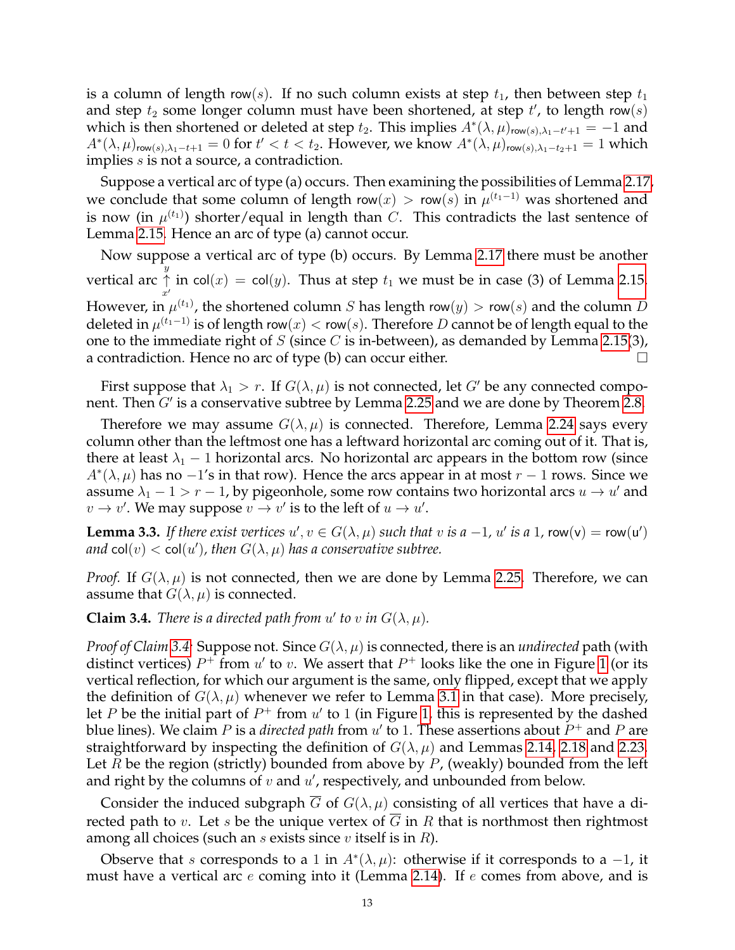is a column of length row(s). If no such column exists at step  $t_1$ , then between step  $t_1$ and step  $t_2$  some longer column must have been shortened, at step  $t'$ , to length row $(s)$ which is then shortened or deleted at step  $t_2$ . This implies  $A^*(\lambda, \mu)_{\text{row}(s), \lambda_1 - t' + 1} = -1$  and  $A^*(\lambda,\mu)_{\mathsf{row}(s),\lambda_1-t+1}=0$  for  $t' < t < t_2$ . However, we know  $A^*(\lambda,\mu)_{\mathsf{row}(s),\lambda_1-t_2+1}=1$  which implies *s* is not a source, a contradiction.

Suppose a vertical arc of type (a) occurs. Then examining the possibilities of Lemma [2.17,](#page-8-1) we conclude that some column of length row $(x)$  > row $(s)$  in  $\mu^{(t_1-1)}$  was shortened and is now (in  $\mu^{(t_1)}$ ) shorter/equal in length than  $C.$  This contradicts the last sentence of Lemma [2.15.](#page-7-2) Hence an arc of type (a) cannot occur.

Now suppose a vertical arc of type (b) occurs. By Lemma [2.17](#page-8-1) there must be another vertical arc y ↑  $x^{\prime}$ in col $(x) = \mathsf{col}(y)$ . Thus at step  $t_1$  we must be in case (3) of Lemma [2.15.](#page-7-2) However, in  $\mu^{(t_1)}$ , the shortened column  $S$  has length row $(y) >$  row $(s)$  and the column  $D$ deleted in  $\mu^{(t_1-1)}$  is of length row $(x) <$  row $(s).$  Therefore  $D$  cannot be of length equal to the one to the immediate right of  $S$  (since  $C$  is in-between), as demanded by Lemma [2.15\(](#page-7-2)3), a contradiction. Hence no arc of type (b) can occur either.

First suppose that  $\lambda_1 > r$ . If  $G(\lambda, \mu)$  is not connected, let G' be any connected component. Then  $G'$  is a conservative subtree by Lemma [2.25](#page-10-2) and we are done by Theorem [2.8.](#page-6-1)

Therefore we may assume  $G(\lambda, \mu)$  is connected. Therefore, Lemma [2.24](#page-10-3) says every column other than the leftmost one has a leftward horizontal arc coming out of it. That is, there at least  $\lambda_1$  − 1 horizontal arcs. No horizontal arc appears in the bottom row (since  $A^*(\lambda, \mu)$  has no  $-1$ 's in that row). Hence the arcs appear in at most  $r-1$  rows. Since we assume  $\lambda_1 - 1 > r - 1$ , by pigeonhole, some row contains two horizontal arcs  $u \to u'$  and  $v \rightarrow v'$ . We may suppose  $v \rightarrow v'$  is to the left of  $u \rightarrow u'$ .

<span id="page-12-1"></span>**Lemma 3.3.** If there exist vertices  $u', v \in G(\lambda, \mu)$  such that v is  $a - 1$ ,  $u'$  is a 1, row(v) = row(u') *and*  $\text{col}(v) < \text{col}(u')$ , then  $G(\lambda, \mu)$  has a conservative subtree.

*Proof.* If  $G(\lambda, \mu)$  is not connected, then we are done by Lemma [2.25.](#page-10-2) Therefore, we can assume that  $G(\lambda, \mu)$  is connected.

<span id="page-12-0"></span>**Claim 3.4.** *There is a directed path from u' to v in*  $G(\lambda, \mu)$ *.* 

*Proof of Claim* [3.4:](#page-12-0) Suppose not. Since  $G(\lambda, \mu)$  is connected, there is an *undirected* path (with distinct vertices)  $P^+$  from u' to v. We assert that  $P^+$  looks like the one in Figure [1](#page-13-0) (or its vertical reflection, for which our argument is the same, only flipped, except that we apply the definition of  $G(\lambda, \mu)$  whenever we refer to Lemma [3.1](#page-11-1) in that case). More precisely, let P be the initial part of  $P^+$  from  $u'$  to 1 (in Figure [1,](#page-13-0) this is represented by the dashed blue lines). We claim  $P$  is a *directed path* from  $u'$  to 1. These assertions about  $P^+$  and  $P$  are straightforward by inspecting the definition of  $G(\lambda, \mu)$  and Lemmas [2.14,](#page-7-3) [2.18](#page-8-0) and [2.23.](#page-10-0) Let R be the region (strictly) bounded from above by  $P$ , (weakly) bounded from the left and right by the columns of  $v$  and  $u'$ , respectively, and unbounded from below.

Consider the induced subgraph  $\overline{G}$  of  $G(\lambda, \mu)$  consisting of all vertices that have a directed path to v. Let s be the unique vertex of  $\overline{G}$  in R that is northmost then rightmost among all choices (such an s exists since v itself is in  $R$ ).

Observe that s corresponds to a 1 in  $A^*(\lambda, \mu)$ : otherwise if it corresponds to a -1, it must have a vertical arc  $e$  coming into it (Lemma [2.14\)](#page-7-3). If  $e$  comes from above, and is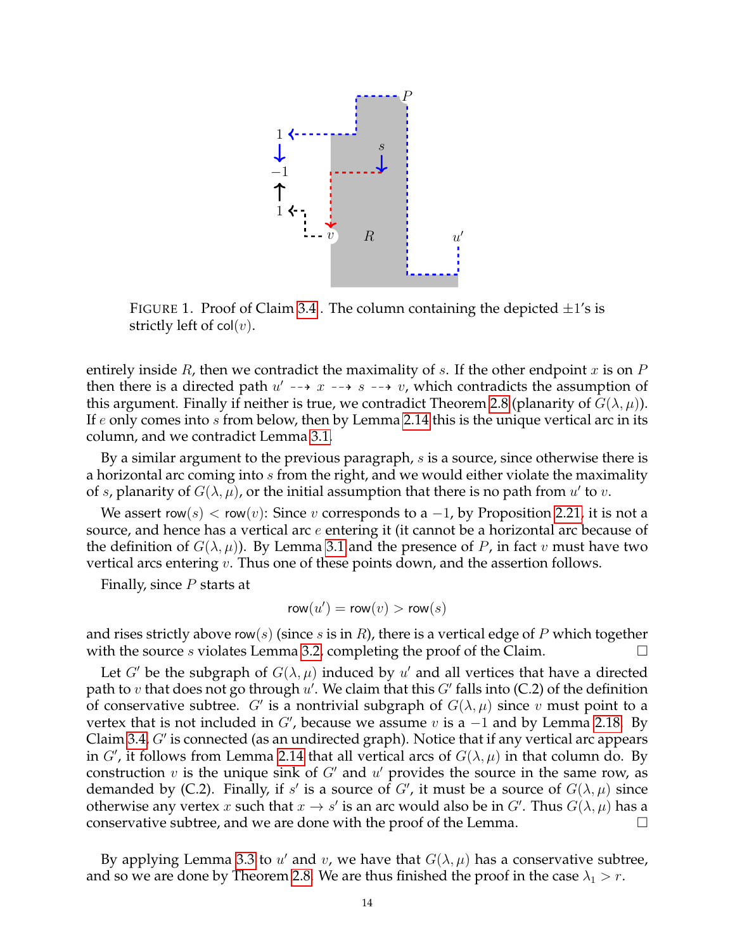

<span id="page-13-0"></span>FIGURE 1. Proof of Claim [3.4](#page-12-0). The column containing the depicted  $\pm 1$ 's is strictly left of  $col(v)$ .

entirely inside R, then we contradict the maximality of s. If the other endpoint x is on  $P$ then there is a directed path  $u' \dashrightarrow x \dashrightarrow s \dashrightarrow v$ , which contradicts the assumption of this argument. Finally if neither is true, we contradict Theorem [2.8](#page-6-1) (planarity of  $G(\lambda, \mu)$ ). If  $e$  only comes into  $s$  from below, then by Lemma [2.14](#page-7-3) this is the unique vertical arc in its column, and we contradict Lemma [3.1.](#page-11-1)

By a similar argument to the previous paragraph, s is a source, since otherwise there is a horizontal arc coming into s from the right, and we would either violate the maximality of s, planarity of  $G(\lambda, \mu)$ , or the initial assumption that there is no path from  $u'$  to  $v$ .

We assert row(s)  $<$  row(v): Since v corresponds to a -1, by Proposition [2.21,](#page-9-0) it is not a source, and hence has a vertical arc  $e$  entering it (it cannot be a horizontal arc because of the definition of  $G(\lambda, \mu)$ ). By Lemma [3.1](#page-11-1) and the presence of P, in fact v must have two vertical arcs entering  $v$ . Thus one of these points down, and the assertion follows.

Finally, since  $P$  starts at

$$
\mathsf{row}(u') = \mathsf{row}(v) > \mathsf{row}(s)
$$

and rises strictly above row(s) (since s is in R), there is a vertical edge of P which together with the source *s* violates Lemma [3.2,](#page-11-2) completing the proof of the Claim.

Let G' be the subgraph of  $G(\lambda, \mu)$  induced by u' and all vertices that have a directed path to  $v$  that does not go through  $u'$ . We claim that this  $G'$  falls into (C.2) of the definition of conservative subtree. G' is a nontrivial subgraph of  $G(\lambda, \mu)$  since v must point to a vertex that is not included in  $G'$ , because we assume v is a  $-1$  and by Lemma [2.18.](#page-8-0) By Claim [3.4,](#page-12-0)  $G'$  is connected (as an undirected graph). Notice that if any vertical arc appears in  $G'$ , it follows from Lemma [2.14](#page-7-3) that all vertical arcs of  $G(\lambda, \mu)$  in that column do. By construction  $v$  is the unique sink of  $G'$  and  $u'$  provides the source in the same row, as demanded by (C.2). Finally, if s' is a source of G', it must be a source of  $G(\lambda, \mu)$  since otherwise any vertex x such that  $x \to s'$  is an arc would also be in G'. Thus  $G(\lambda, \mu)$  has a conservative subtree, and we are done with the proof of the Lemma.

By applying Lemma [3.3](#page-12-1) to u' and v, we have that  $G(\lambda, \mu)$  has a conservative subtree, and so we are done by Theorem [2.8.](#page-6-1) We are thus finished the proof in the case  $\lambda_1 > r$ .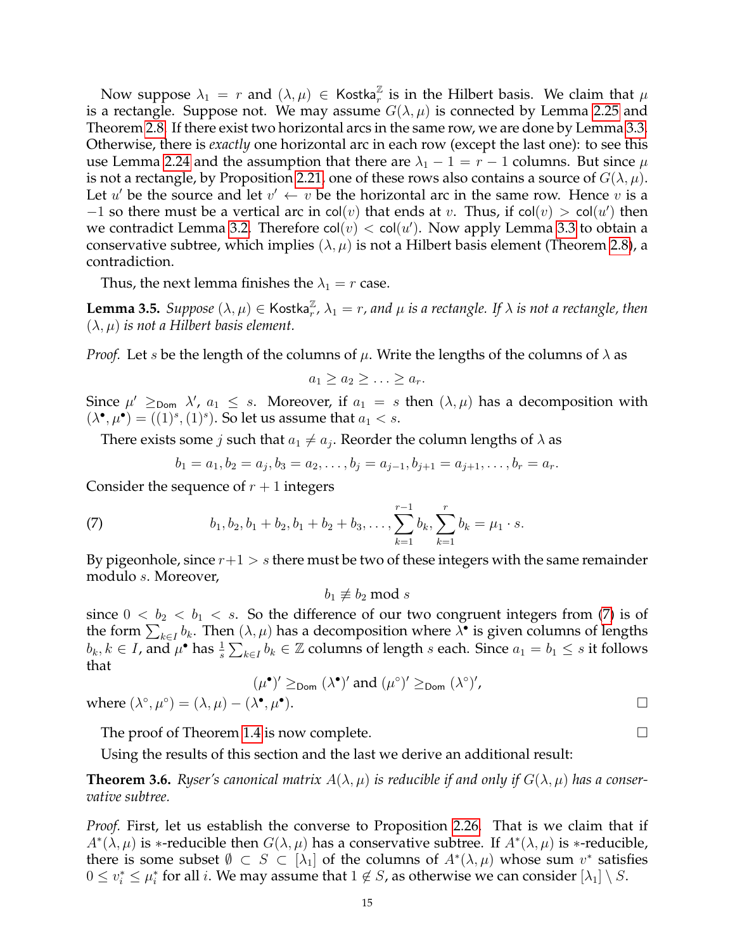Now suppose  $\lambda_1 = r$  and  $(\lambda, \mu) \in K$ ostka $\frac{1}{r}$  is in the Hilbert basis. We claim that  $\mu$ is a rectangle. Suppose not. We may assume  $G(\lambda, \mu)$  is connected by Lemma [2.25](#page-10-2) and Theorem [2.8.](#page-6-1) If there exist two horizontal arcs in the same row, we are done by Lemma [3.3.](#page-12-1) Otherwise, there is *exactly* one horizontal arc in each row (except the last one): to see this use Lemma [2.24](#page-10-3) and the assumption that there are  $\lambda_1 - 1 = r - 1$  columns. But since  $\mu$ is not a rectangle, by Proposition [2.21,](#page-9-0) one of these rows also contains a source of  $G(\lambda, \mu)$ . Let u' be the source and let  $v' \leftarrow v$  be the horizontal arc in the same row. Hence v is a  $-1$  so there must be a vertical arc in col $(v)$  that ends at v. Thus, if col $(v) > col(u')$  then we contradict Lemma [3.2.](#page-11-2) Therefore  $col(v) < col(u')$ . Now apply Lemma [3.3](#page-12-1) to obtain a conservative subtree, which implies  $(\lambda, \mu)$  is not a Hilbert basis element (Theorem [2.8\)](#page-6-1), a contradiction.

Thus, the next lemma finishes the  $\lambda_1 = r$  case.

**Lemma 3.5.** *Suppose*  $(\lambda, \mu) \in \mathsf{Kostka}_r^\mathbb{Z}$ ,  $\lambda_1 = r$ , and  $\mu$  is a rectangle. If  $\lambda$  is not a rectangle, then  $(\lambda, \mu)$  *is not a Hilbert basis element.* 

*Proof.* Let s be the length of the columns of  $\mu$ . Write the lengths of the columns of  $\lambda$  as

$$
a_1 \ge a_2 \ge \ldots \ge a_r.
$$

Since  $\mu' \geq_{\text{Dom}} \lambda'$ ,  $a_1 \leq s$ . Moreover, if  $a_1 = s$  then  $(\lambda, \mu)$  has a decomposition with  $(\lambda^{\bullet}, \mu^{\bullet}) = ((1)^s, (1)^s)$ . So let us assume that  $a_1 < s$ .

There exists some *j* such that  $a_1 \neq a_j$ . Reorder the column lengths of  $\lambda$  as

<span id="page-14-1"></span>
$$
b_1 = a_1, b_2 = a_j, b_3 = a_2, \dots, b_j = a_{j-1}, b_{j+1} = a_{j+1}, \dots, b_r = a_r.
$$

Consider the sequence of  $r + 1$  integers

(7) 
$$
b_1, b_2, b_1 + b_2, b_1 + b_2 + b_3, \ldots, \sum_{k=1}^{r-1} b_k, \sum_{k=1}^{r} b_k = \mu_1 \cdot s.
$$

By pigeonhole, since  $r+1 > s$  there must be two of these integers with the same remainder modulo s. Moreover,

$$
b_1 \not\equiv b_2 \bmod s
$$

since  $0 < b_2 < b_1 < s$ . So the difference of our two congruent integers from [\(7\)](#page-14-1) is of the form  $\sum_{k\in I} b_k$ . Then  $(\lambda, \mu)$  has a decomposition where  $\lambda^{\bullet}$  is given columns of lengths  $b_k, k \in I$ , and  $\mu^{\bullet}$  has  $\frac{1}{s} \sum_{k \in I} b_k \in \mathbb{Z}$  columns of length s each. Since  $a_1 = b_1 \leq s$  it follows that

$$
(\mu^{\bullet})' \geq_{\text{Dom}} (\lambda^{\bullet})' \text{ and } (\mu^{\circ})' \geq_{\text{Dom}} (\lambda^{\circ})',
$$
  

$$
(\lambda^{\bullet}, \mu^{\bullet}).
$$

where  $(\lambda^{\circ}, \mu^{\circ}) = (\lambda, \mu) - (\lambda^{\bullet}, \mu^{\bullet})$ 

The proof of Theorem [1.4](#page-2-1) is now complete.

Using the results of this section and the last we derive an additional result:

<span id="page-14-0"></span>**Theorem 3.6.** *Ryser's canonical matrix*  $A(\lambda, \mu)$  *is reducible if and only if*  $G(\lambda, \mu)$  *has a conservative subtree.*

*Proof.* First, let us establish the converse to Proposition [2.26.](#page-10-1) That is we claim that if  $A^*(\lambda,\mu)$  is \*-reducible then  $G(\lambda,\mu)$  has a conservative subtree. If  $A^*(\lambda,\mu)$  is \*-reducible, there is some subset  $\emptyset \subset S \subset [\lambda_1]$  of the columns of  $A^*(\lambda, \mu)$  whose sum  $v^*$  satisfies  $0 \leq v_i^* \leq \mu_i^*$  for all  $i$ . We may assume that  $1 \not\in S$ , as otherwise we can consider  $[\lambda_1] \setminus S$ .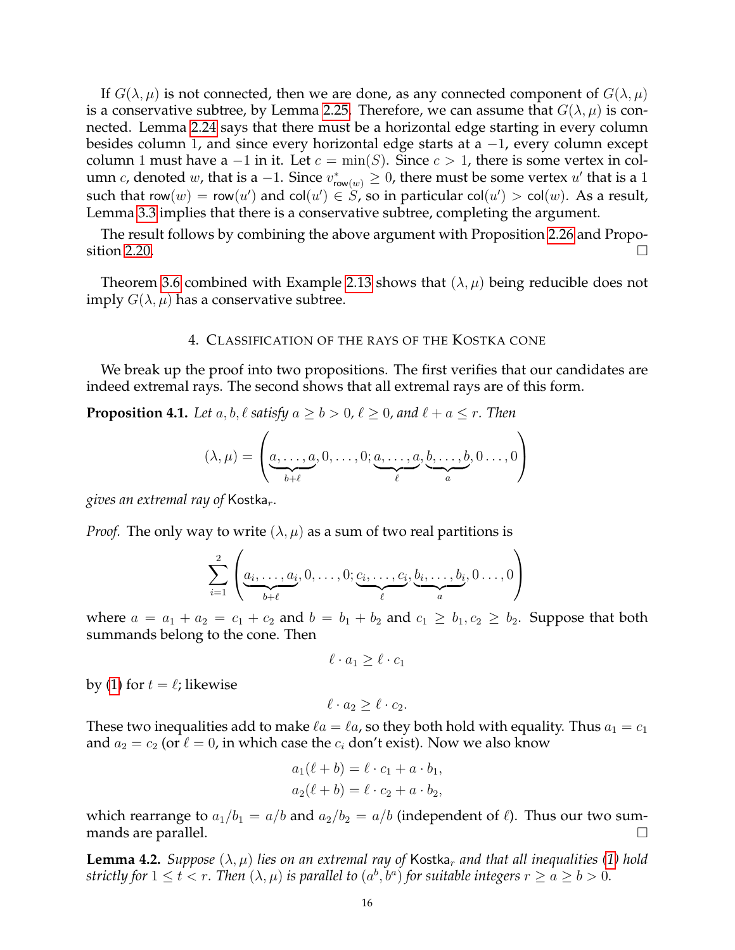If  $G(\lambda, \mu)$  is not connected, then we are done, as any connected component of  $G(\lambda, \mu)$ is a conservative subtree, by Lemma [2.25.](#page-10-2) Therefore, we can assume that  $G(\lambda, \mu)$  is connected. Lemma [2.24](#page-10-3) says that there must be a horizontal edge starting in every column besides column 1, and since every horizontal edge starts at a −1, every column except column 1 must have a  $-1$  in it. Let  $c = \min(S)$ . Since  $c > 1$ , there is some vertex in column c, denoted w, that is a -1. Since  $v_{\mathsf{row}(w)}^* \geq 0$ , there must be some vertex  $u'$  that is a 1 such that row $(w) = \mathsf{row}(u')$  and col $(u') \in S$ , so in particular col $(u') > \mathsf{col}(w)$ . As a result, Lemma [3.3](#page-12-1) implies that there is a conservative subtree, completing the argument.

The result follows by combining the above argument with Proposition [2.26](#page-10-1) and Propo-sition [2.20.](#page-9-2)

Theorem [3.6](#page-14-0) combined with Example [2.13](#page-7-0) shows that  $(\lambda, \mu)$  being reducible does not imply  $G(\lambda, \mu)$  has a conservative subtree.

#### 4. CLASSIFICATION OF THE RAYS OF THE KOSTKA CONE

<span id="page-15-0"></span>We break up the proof into two propositions. The first verifies that our candidates are indeed extremal rays. The second shows that all extremal rays are of this form.

<span id="page-15-1"></span>**Proposition 4.1.** *Let*  $a, b, \ell$  *satisfy*  $a \ge b > 0, \ell \ge 0$ *, and*  $\ell + a \le r$ *. Then* 

$$
(\lambda, \mu) = \left(\underbrace{a, \dots, a}_{b+\ell}, 0, \dots, 0; \underbrace{a, \dots, a}_{\ell}, \underbrace{b, \dots, b}_{a}, 0 \dots, 0\right)
$$

*gives an extremal ray of* Kostka<sub>r</sub>.

*Proof.* The only way to write  $(\lambda, \mu)$  as a sum of two real partitions is

$$
\sum_{i=1}^{2} \left( \underbrace{a_i, \dots, a_i}_{b+\ell}, 0, \dots, 0; \underbrace{c_i, \dots, c_i}_{\ell}, \underbrace{b_i, \dots, b_i}_{a}, 0 \dots, 0 \right)
$$

where  $a = a_1 + a_2 = c_1 + c_2$  and  $b = b_1 + b_2$  and  $c_1 \geq b_1, c_2 \geq b_2$ . Suppose that both summands belong to the cone. Then

 $\ell \cdot a_1 > \ell \cdot c_1$ 

by [\(1\)](#page-1-2) for  $t = \ell$ ; likewise

$$
\ell \cdot a_2 \geq \ell \cdot c_2.
$$

These two inequalities add to make  $\ell a = \ell a$ , so they both hold with equality. Thus  $a_1 = c_1$ and  $a_2 = c_2$  (or  $\ell = 0$ , in which case the  $c_i$  don't exist). Now we also know

$$
a_1(\ell + b) = \ell \cdot c_1 + a \cdot b_1,
$$
  

$$
a_2(\ell + b) = \ell \cdot c_2 + a \cdot b_2,
$$

which rearrange to  $a_1/b_1 = a/b$  and  $a_2/b_2 = a/b$  (independent of  $\ell$ ). Thus our two summands are parallel.

<span id="page-15-2"></span>**Lemma 4.2.** *Suppose*  $(\lambda, \mu)$  *lies on an extremal ray of* Kostka<sub>r</sub> *and that all inequalities* [\(1\)](#page-1-2) *hold strictly for*  $1 \le t < r$ . Then  $(\lambda, \mu)$  *is parallel to*  $(a^b, b^a)$  *for suitable integers*  $r \ge a \ge b > 0$ *.*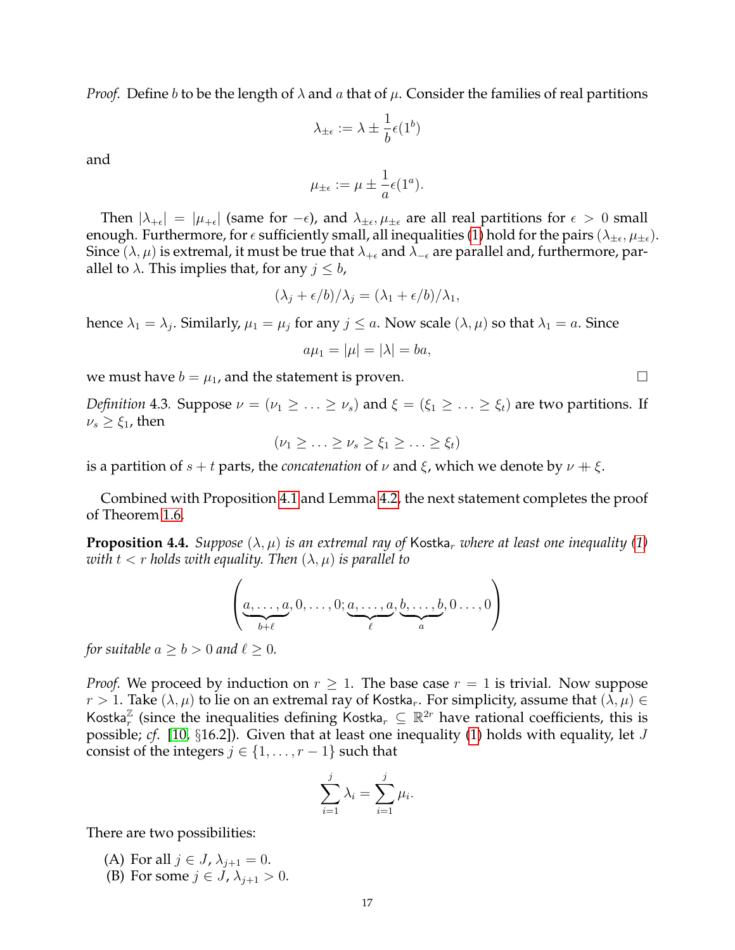*Proof.* Define b to be the length of  $\lambda$  and a that of  $\mu$ . Consider the families of real partitions

$$
\lambda_{\pm\epsilon}:=\lambda\pm\frac{1}{b}\epsilon(1^b)
$$

and

$$
\mu_{\pm\epsilon} := \mu \pm \frac{1}{a} \epsilon(1^a).
$$

Then  $|\lambda_{+\epsilon}| = |\mu_{+\epsilon}|$  (same for  $-\epsilon$ ), and  $\lambda_{\pm \epsilon}, \mu_{\pm \epsilon}$  are all real partitions for  $\epsilon > 0$  small enough. Furthermore, for  $\epsilon$  sufficiently small, all inequalities [\(1\)](#page-1-2) hold for the pairs  $(\lambda_{\pm\epsilon},\mu_{\pm\epsilon}).$ Since ( $\lambda$ ,  $\mu$ ) is extremal, it must be true that  $\lambda_{+\epsilon}$  and  $\lambda_{-\epsilon}$  are parallel and, furthermore, parallel to  $\lambda$ . This implies that, for any  $j \leq b$ ,

$$
(\lambda_j + \epsilon/b)/\lambda_j = (\lambda_1 + \epsilon/b)/\lambda_1,
$$

hence  $\lambda_1 = \lambda_j$ . Similarly,  $\mu_1 = \mu_j$  for any  $j \leq a$ . Now scale  $(\lambda, \mu)$  so that  $\lambda_1 = a$ . Since

$$
a\mu_1=|\mu|=|\lambda|=ba,
$$

we must have  $b = \mu_1$ , and the statement is proven.

*Definition* 4.3. Suppose  $\nu = (\nu_1 \geq \ldots \geq \nu_s)$  and  $\xi = (\xi_1 \geq \ldots \geq \xi_t)$  are two partitions. If  $\nu_s \geq \xi_1$ , then

$$
(\nu_1 \geq \ldots \geq \nu_s \geq \xi_1 \geq \ldots \geq \xi_t)
$$

is a partition of  $s + t$  parts, the *concatenation* of  $\nu$  and  $\xi$ , which we denote by  $\nu + \xi$ .

Combined with Proposition [4.1](#page-15-1) and Lemma [4.2,](#page-15-2) the next statement completes the proof of Theorem [1.6.](#page-2-4)

<span id="page-16-0"></span>**Proposition 4.4.** *Suppose*  $(\lambda, \mu)$  *is an extremal ray of* Kostka, *where at least one inequality* [\(1\)](#page-1-2) *with*  $t < r$  *holds with equality. Then*  $(\lambda, \mu)$  *is parallel to* 

$$
\left(\underbrace{a,\ldots,a}_{b+\ell},0,\ldots,0;\underbrace{a,\ldots,a}_{\ell},\underbrace{b,\ldots,b}_{a},0\ldots,0\right)
$$

*for suitable*  $a \geq b > 0$  *and*  $\ell \geq 0$ *.* 

*Proof.* We proceed by induction on  $r \geq 1$ . The base case  $r = 1$  is trivial. Now suppose  $r > 1$ . Take  $(\lambda, \mu)$  to lie on an extremal ray of Kostka,. For simplicity, assume that  $(\lambda, \mu) \in$ Kostka<sup> $\mathbb{Z}$ </sup> (since the inequalities defining Kostka,  $\subseteq \mathbb{R}^{2r}$  have rational coefficients, this is possible; *cf*. [\[10,](#page-23-2) §16.2]). Given that at least one inequality [\(1\)](#page-1-2) holds with equality, let J consist of the integers  $j \in \{1, \ldots, r-1\}$  such that

$$
\sum_{i=1}^{j} \lambda_i = \sum_{i=1}^{j} \mu_i
$$

.

There are two possibilities:

- (A) For all  $j \in J$ ,  $\lambda_{j+1} = 0$ .
- (B) For some  $j \in J$ ,  $\lambda_{j+1} > 0$ .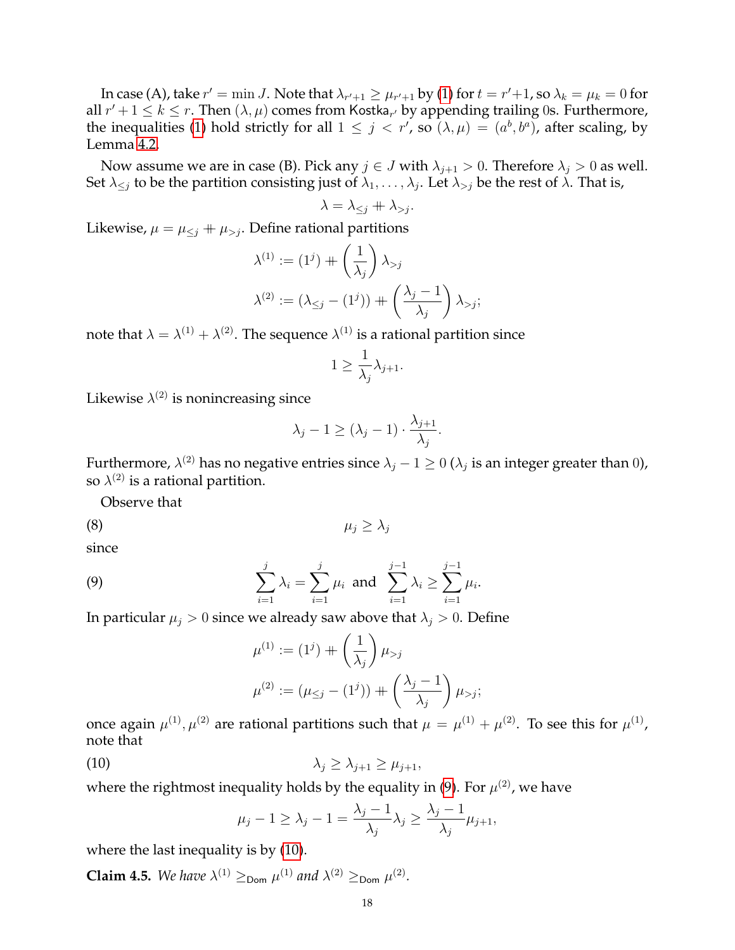In case (A), take  $r' = \min J$ . Note that  $\lambda_{r'+1} \geq \mu_{r'+1}$  by [\(1\)](#page-1-2) for  $t = r'+1$ , so  $\lambda_k = \mu_k = 0$  for all  $r' + 1 \leq k \leq r$ . Then  $(\lambda, \mu)$  comes from Kostka<sub>r'</sub> by appending trailing 0s. Furthermore, the inequalities [\(1\)](#page-1-2) hold strictly for all  $1 \leq j < r'$ , so  $(\lambda, \mu) = (a^b, b^a)$ , after scaling, by Lemma [4.2.](#page-15-2)

Now assume we are in case (B). Pick any  $j \in J$  with  $\lambda_{i+1} > 0$ . Therefore  $\lambda_i > 0$  as well. Set  $\lambda_{\le j}$  to be the partition consisting just of  $\lambda_1,\ldots,\lambda_j.$  Let  $\lambda_{>j}$  be the rest of  $\lambda.$  That is,

$$
\lambda = \lambda_{\leq j} + \lambda_{>j}.
$$

Likewise,  $\mu = \mu_{\leq i} + \mu_{\geq i}$ . Define rational partitions

$$
\lambda^{(1)} := (1^j) + \left(\frac{1}{\lambda_j}\right) \lambda_{>j}
$$

$$
\lambda^{(2)} := (\lambda_{\leq j} - (1^j)) + \left(\frac{\lambda_j - 1}{\lambda_j}\right) \lambda_{>j};
$$

note that  $\lambda=\lambda^{(1)}+\lambda^{(2)}.$  The sequence  $\lambda^{(1)}$  is a rational partition since

$$
1\geq \frac{1}{\lambda_j}\lambda_{j+1}.
$$

Likewise  $\lambda^{(2)}$  is nonincreasing since

<span id="page-17-2"></span>
$$
\lambda_j - 1 \ge (\lambda_j - 1) \cdot \frac{\lambda_{j+1}}{\lambda_j}.
$$

Furthermore,  $\lambda^{(2)}$  has no negative entries since  $\lambda_j-1\geq 0$  ( $\lambda_j$  is an integer greater than 0), so  $\lambda^{(2)}$  is a rational partition.

Observe that

$$
\mu_j \geq \lambda_j
$$

since

(9) 
$$
\sum_{i=1}^{j} \lambda_i = \sum_{i=1}^{j} \mu_i \text{ and } \sum_{i=1}^{j-1} \lambda_i \geq \sum_{i=1}^{j-1} \mu_i.
$$

In particular  $\mu_i > 0$  since we already saw above that  $\lambda_i > 0$ . Define

<span id="page-17-0"></span>
$$
\mu^{(1)} := (1^j) + \left(\frac{1}{\lambda_j}\right) \mu_{>j}
$$
  

$$
\mu^{(2)} := (\mu_{\leq j} - (1^j)) + \left(\frac{\lambda_j - 1}{\lambda_j}\right) \mu_{>j};
$$

once again  $\mu^{(1)},\mu^{(2)}$  are rational partitions such that  $\mu=\mu^{(1)}+\mu^{(2)}.$  To see this for  $\mu^{(1)},$ note that

$$
\lambda_j \geq \lambda_{j+1} \geq \mu_{j+1},
$$

where the rightmost inequality holds by the equality in [\(9\)](#page-17-0). For  $\mu^{(2)}$ , we have

<span id="page-17-1"></span>
$$
\mu_j - 1 \ge \lambda_j - 1 = \frac{\lambda_j - 1}{\lambda_j} \lambda_j \ge \frac{\lambda_j - 1}{\lambda_j} \mu_{j+1},
$$

where the last inequality is by [\(10\)](#page-17-1).

**Claim 4.5.** We have  $\lambda^{(1)} \geq_{\text{Dom}} \mu^{(1)}$  and  $\lambda^{(2)} \geq_{\text{Dom}} \mu^{(2)}$ .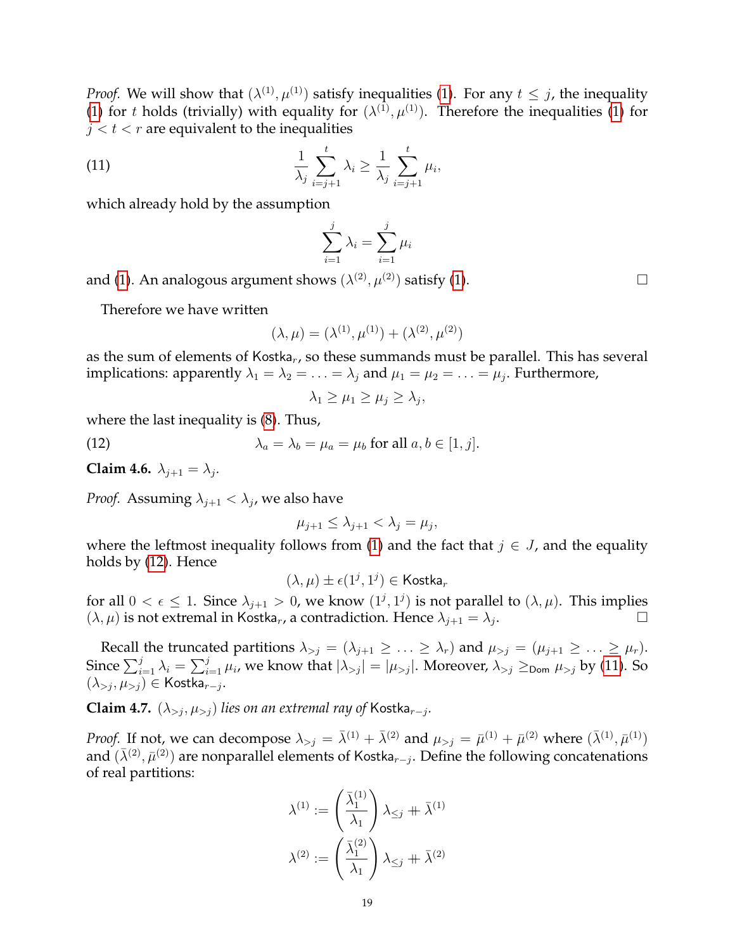*Proof.* We will show that  $(\lambda^{(1)}, \mu^{(1)})$  $(\lambda^{(1)}, \mu^{(1)})$  $(\lambda^{(1)}, \mu^{(1)})$  satisfy inequalities (1). For any  $t \leq j$ , the inequality [\(1\)](#page-1-2) for t holds (trivially) with equality for  $(\lambda^{(1)}, \mu^{(1)})$ . Therefore the inequalities (1) for  $j < t < r$  are equivalent to the inequalities

(11) 
$$
\frac{1}{\lambda_j} \sum_{i=j+1}^t \lambda_i \geq \frac{1}{\lambda_j} \sum_{i=j+1}^t \mu_i,
$$

which already hold by the assumption

<span id="page-18-1"></span>
$$
\sum_{i=1}^{j} \lambda_i = \sum_{i=1}^{j} \mu_i
$$

and [\(1\)](#page-1-2). An analogous argument shows  $(\lambda^{(2)},\mu^{(2)})$  satisfy (1).  $\hfill \Box$ 

Therefore we have written

$$
(\lambda, \mu) = (\lambda^{(1)}, \mu^{(1)}) + (\lambda^{(2)}, \mu^{(2)})
$$

as the sum of elements of Kostka<sub>r</sub>, so these summands must be parallel. This has several implications: apparently  $\lambda_1 = \lambda_2 = \ldots = \lambda_j$  and  $\mu_1 = \mu_2 = \ldots = \mu_j$ . Furthermore,

<span id="page-18-0"></span>
$$
\lambda_1 \geq \mu_1 \geq \mu_j \geq \lambda_j,
$$

where the last inequality is [\(8\)](#page-17-2). Thus,

(12) 
$$
\lambda_a = \lambda_b = \mu_a = \mu_b \text{ for all } a, b \in [1, j].
$$

<span id="page-18-2"></span>**Claim 4.6.**  $\lambda_{j+1} = \lambda_j$ .

*Proof.* Assuming  $\lambda_{j+1} < \lambda_j$ , we also have

$$
\mu_{j+1} \le \lambda_{j+1} < \lambda_j = \mu_j,
$$

where the leftmost inequality follows from [\(1\)](#page-1-2) and the fact that  $j \in J$ , and the equality holds by [\(12\)](#page-18-0). Hence

$$
(\lambda,\mu)\pm\epsilon(1^j,1^j)\in\operatorname{Kostka}_r
$$

for all  $0 < \epsilon \leq 1$ . Since  $\lambda_{j+1} > 0$ , we know  $(1^j, 1^j)$  is not parallel to  $(\lambda, \mu)$ . This implies  $(\lambda, \mu)$  is not extremal in Kostka<sub>r</sub>, a contradiction. Hence  $\lambda_{j+1} = \lambda_j$ . .

Recall the truncated partitions  $\lambda_{>j} = (\lambda_{j+1} \geq \ldots \geq \lambda_r)$  and  $\mu_{>j} = (\mu_{j+1} \geq \ldots \geq \mu_r)$ . Since  $\sum_{i=1}^j \lambda_i = \sum_{i=1}^j \mu_i$ , we know that  $|\lambda_{>j}| = |\mu_{>j}|$ . Moreover,  $\lambda_{>j} \geq_{\sf Dom} \mu_{>j}$  by [\(11\)](#page-18-1). So  $(\lambda_{>j}, \mu_{>j}) \in \mathsf{Kostka}_{r-j}.$ 

**Claim 4.7.**  $(\lambda_{>j}, \mu_{>j})$  *lies on an extremal ray of* Kostka<sub>r−j</sub>.

*Proof.* If not, we can decompose  $\lambda_{>j} = \overline{\lambda}^{(1)} + \overline{\lambda}^{(2)}$  and  $\mu_{>j} = \overline{\mu}^{(1)} + \overline{\mu}^{(2)}$  where  $(\overline{\lambda}^{(1)}, \overline{\mu}^{(1)})$ and  $(\bar{\lambda}^{(2)}, \bar{\mu}^{(2)})$  are nonparallel elements of Kostka<sub>r-j</sub>. Define the following concatenations of real partitions:

$$
\lambda^{(1)} := \left(\frac{\bar{\lambda}_1^{(1)}}{\lambda_1}\right) \lambda_{\leq j} + \bar{\lambda}^{(1)}
$$

$$
\lambda^{(2)} := \left(\frac{\bar{\lambda}_1^{(2)}}{\lambda_1}\right) \lambda_{\leq j} + \bar{\lambda}^{(2)}
$$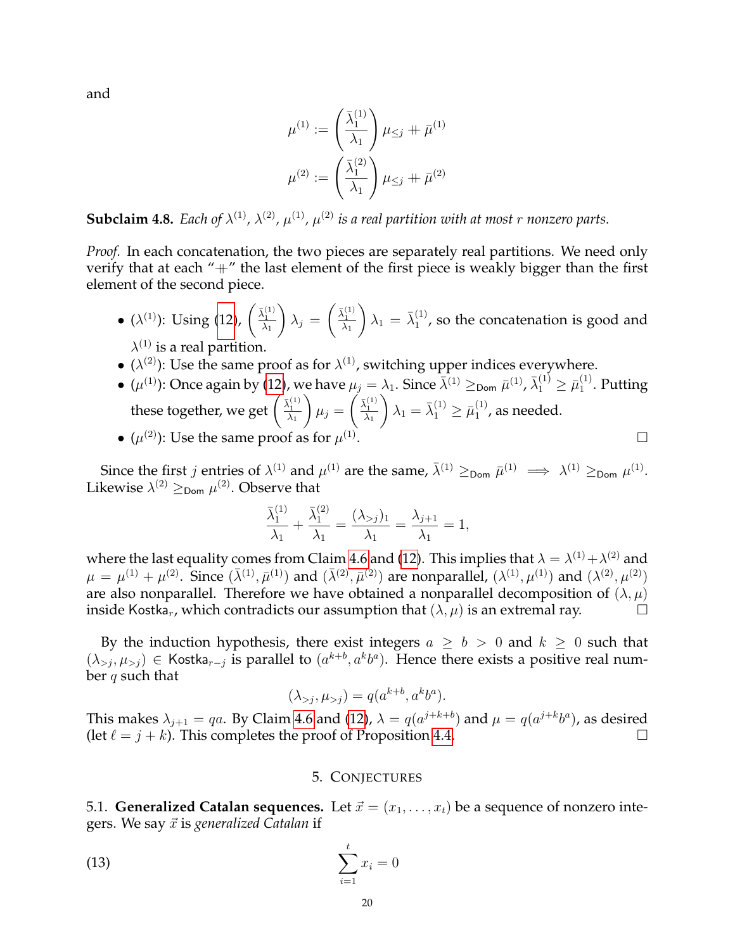and

$$
\mu^{(1)} := \left(\frac{\bar{\lambda}_1^{(1)}}{\lambda_1}\right) \mu_{\leq j} + \bar{\mu}^{(1)}
$$

$$
\mu^{(2)} := \left(\frac{\bar{\lambda}_1^{(2)}}{\lambda_1}\right) \mu_{\leq j} + \bar{\mu}^{(2)}
$$

**Subclaim 4.8.** Each of  $\lambda^{(1)}$ ,  $\lambda^{(2)}$ ,  $\mu^{(1)}$ ,  $\mu^{(2)}$  is a real partition with at most r nonzero parts.

*Proof.* In each concatenation, the two pieces are separately real partitions. We need only verify that at each "+" the last element of the first piece is weakly bigger than the first element of the second piece.

- ( $\lambda^{(1)}$ ): Using [\(12\)](#page-18-0),  $\begin{pmatrix} \frac{\bar{\lambda}_1^{(1)}}{\lambda_1} \end{pmatrix}$  $\setminus$  $\lambda_j =$  $\left(\frac{\bar{\lambda}_1^{(1)}}{\lambda_1}\right)$  $\bigg) \lambda_1 = \bar{\lambda}_1^{(1)}$  $1^{(1)}$ , so the concatenation is good and  $\lambda^{(1)}$  is a real partition.
- ( $\lambda^{(2)}$ ): Use the same proof as for  $\lambda^{(1)}$ , switching upper indices everywhere.
- $\bullet\; (\mu^{(1)})$ : Once again by [\(12\)](#page-18-0), we have  $\mu_j=\lambda_1.$  Since  $\bar\lambda^{(1)}\geq_{\sf Dom} \bar\mu^{(1)}$ ,  $\bar\lambda^{(1)}_1\geq\bar\mu^{(1)}_1$  $_1^{(1)}$ . Putting these together, we get  $\Big(\frac{\bar{\lambda}_1^{(1)}}{\lambda_1}\Big)$  $\setminus$  $\mu_j =$  $\left(\frac{\bar{\lambda}_1^{(1)}}{\lambda_1}\right)$  $\lambda_1 = \bar{\lambda}_1^{(1)} \geq \bar{\mu}_1^{(1)}$  $_1^{(1)}$ , as needed. .
- $\bullet$   $(\mu^{(2)})$ : Use the same proof as for  $\mu^{(1)}$

Since the first *j* entries of  $\lambda^{(1)}$  and  $\mu^{(1)}$  are the same,  $\bar{\lambda}^{(1)} \geq_{\text{Dom}} \bar{\mu}^{(1)} \implies \lambda^{(1)} \geq_{\text{Dom}} \mu^{(1)}$ . Likewise  $\lambda^{(2)} \geq_{\sf Dom} \mu^{(2)}$ . Observe that

$$
\frac{\bar{\lambda}_1^{(1)}}{\lambda_1} + \frac{\bar{\lambda}_1^{(2)}}{\lambda_1} = \frac{(\lambda_{>j})_1}{\lambda_1} = \frac{\lambda_{j+1}}{\lambda_1} = 1,
$$

where the last equality comes from Claim [4.6](#page-18-2) and [\(12\)](#page-18-0). This implies that  $\lambda=\lambda^{(1)}\!+\!\lambda^{(2)}$  and  $\mu = \mu^{(1)} + \mu^{(2)}$ . Since  $(\bar{\lambda}^{(1)}, \bar{\mu}^{(1)})$  and  $(\bar{\lambda}^{(2)}, \bar{\mu}^{(2)})$  are nonparallel,  $(\lambda^{(1)}, \mu^{(1)})$  and  $(\lambda^{(2)}, \mu^{(2)})$ are also nonparallel. Therefore we have obtained a nonparallel decomposition of  $(\lambda, \mu)$ inside Kostka<sub>r</sub>, which contradicts our assumption that  $(\lambda, \mu)$  is an extremal ray.

By the induction hypothesis, there exist integers  $a \geq b > 0$  and  $k \geq 0$  such that  $(\lambda_{>j}, \mu_{>j}) \in$  Kostka<sub>r-j</sub> is parallel to  $(a^{k+b}, a^k b^a)$ . Hence there exists a positive real number q such that

$$
(\lambda_{>j}, \mu_{>j}) = q(a^{k+b}, a^k b^a).
$$

This makes  $\lambda_{j+1} = qa$ . By Claim [4.6](#page-18-2) and [\(12\)](#page-18-0),  $\lambda = q(a^{j+k+b})$  and  $\mu = q(a^{j+k}b^a)$ , as desired (let  $\ell = j + k$ ). This completes the proof of Proposition [4.4.](#page-16-0)

## <span id="page-19-2"></span>5. CONJECTURES

<span id="page-19-1"></span><span id="page-19-0"></span>5.1. **Generalized Catalan sequences.** Let  $\vec{x} = (x_1, \ldots, x_t)$  be a sequence of nonzero integers. We say  $\vec{x}$  is *generalized Catalan* if

$$
\sum_{i=1}^{t} x_i = 0
$$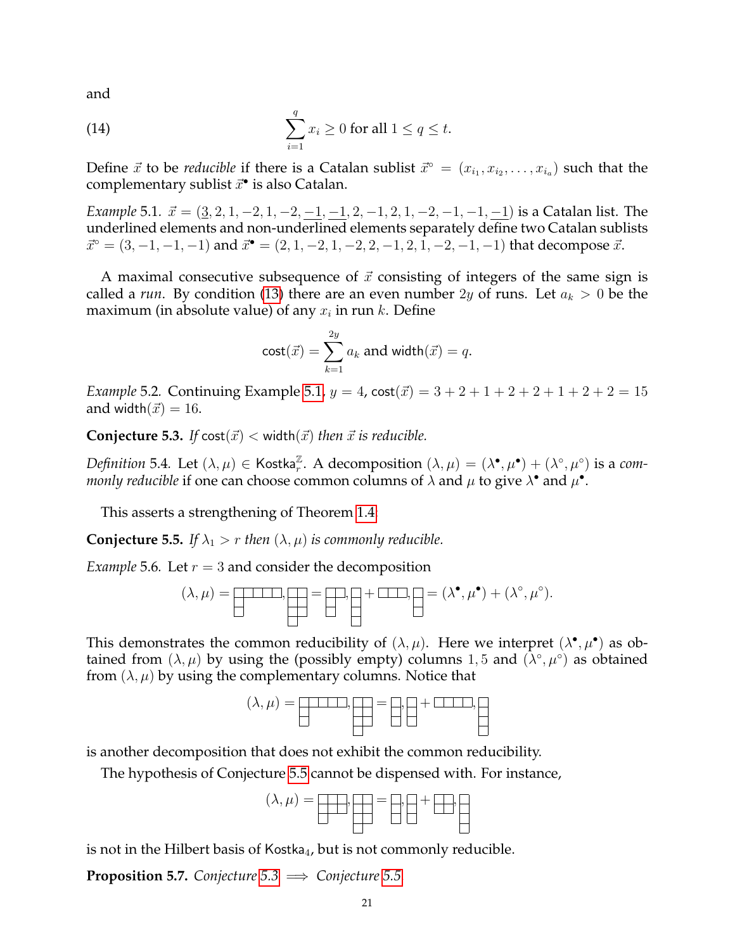and

<span id="page-20-3"></span>(14) 
$$
\sum_{i=1}^q x_i \geq 0 \text{ for all } 1 \leq q \leq t.
$$

Define  $\vec{x}$  to be *reducible* if there is a Catalan sublist  $\vec{x}^\circ = (x_{i_1}, x_{i_2}, \ldots, x_{i_a})$  such that the complementary sublist  $\vec{x}^{\bullet}$  is also Catalan.

<span id="page-20-0"></span>*Example* 5.1*.*  $\vec{x} = (\underline{3}, 2, 1, -2, 1, -2, -1, -1, 2, -1, 2, 1, -2, -1, -1, -1)$  is a Catalan list. The underlined elements and non-underlined elements separately define two Catalan sublists  $\vec{x}^{\circ} = (3, -1, -1, -1)$  and  $\vec{x}^{\bullet} = (2, 1, -2, 1, -2, 2, -1, 2, 1, -2, -1, -1)$  that decompose  $\vec{x}$ .

A maximal consecutive subsequence of  $\vec{x}$  consisting of integers of the same sign is called a *run*. By condition [\(13\)](#page-19-2) there are an even number 2y of runs. Let  $a_k > 0$  be the maximum (in absolute value) of any  $x_i$  in run  $k$ . Define

$$
\mathsf{cost}(\vec{x}) = \sum_{k=1}^{2y} a_k \text{ and width}(\vec{x}) = q.
$$

*Example* 5.2. Continuing Example [5.1,](#page-20-0)  $y = 4$ ,  $\cot(\vec{x}) = 3 + 2 + 1 + 2 + 2 + 1 + 2 + 2 = 15$ and width $(\vec{x}) = 16$ .

<span id="page-20-2"></span>**Conjecture 5.3.** *If*  $\text{cost}(\vec{x}) < \text{width}(\vec{x})$  *then*  $\vec{x}$  *is reducible.* 

*Definition* 5.4. Let  $(\lambda, \mu) \in \mathsf{Kostka}_r^\mathbb{Z}$ . A decomposition  $(\lambda, \mu) = (\lambda^{\bullet}, \mu^{\bullet}) + (\lambda^{\circ}, \mu^{\circ})$  is a com*monly reducible* if one can choose common columns of  $\lambda$  and  $\mu$  to give  $\lambda^{\bullet}$  and  $\mu^{\bullet}$ .

This asserts a strengthening of Theorem [1.4:](#page-2-1)

<span id="page-20-1"></span>**Conjecture 5.5.** *If*  $\lambda_1 > r$  *then*  $(\lambda, \mu)$  *is commonly reducible.* 

*Example* 5.6*.* Let  $r = 3$  and consider the decomposition

$$
(\lambda, \mu) = \boxed{\underline{\qquad \qquad }}. \boxed{\underline{\qquad \qquad }} = \boxed{\underline{\qquad \qquad }}. \boxed{\underline{\qquad \qquad }} + \boxed{\underline{\qquad \qquad }}. \boxed{\underline{\qquad \qquad }} = (\lambda^{\bullet}, \mu^{\bullet}) + (\lambda^{\circ}, \mu^{\circ}).
$$

This demonstrates the common reducibility of  $(\lambda, \mu)$ . Here we interpret  $(\lambda^{\bullet}, \mu^{\bullet})$  as obtained from  $(\lambda, \mu)$  by using the (possibly empty) columns 1,5 and  $(\lambda^{\circ}, \mu^{\circ})$  as obtained from  $(\lambda, \mu)$  by using the complementary columns. Notice that

$$
(\lambda, \mu) = \boxed{\phantom{aaaaaaa} \phantom{aaaaaaa} } = \boxed{\phantom{aaaaaaa} } + \boxed{\phantom{aaaaaaa} } + \boxed{\phantom{aaaaaaa} } \phantom{aaaaaaa} \phantom{aaaaaaa} }
$$

is another decomposition that does not exhibit the common reducibility.

The hypothesis of Conjecture [5.5](#page-20-1) cannot be dispensed with. For instance,

(λ, µ) = , = , + ,

is not in the Hilbert basis of Kostka<sub>4</sub>, but is not commonly reducible.

**Proposition 5.7.** *Conjecture*  $5.3 \implies$  *Conjecture* [5.5.](#page-20-1)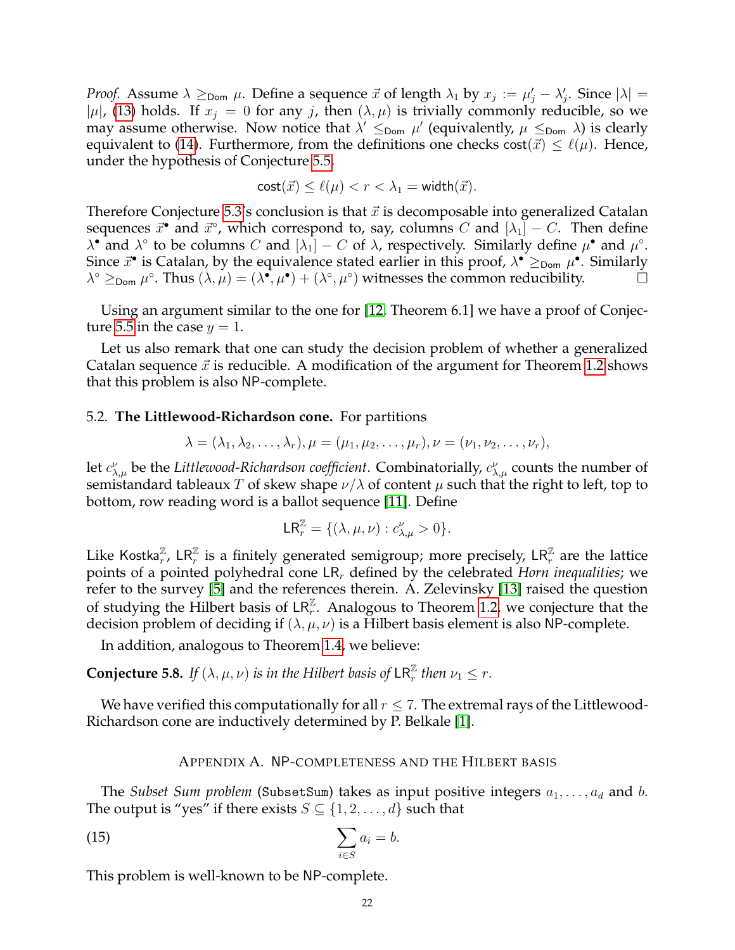*Proof.* Assume  $\lambda \geq_{\text{Dom}} \mu$ . Define a sequence  $\vec{x}$  of length  $\lambda_1$  by  $x_j := \mu'_j - \lambda'_j$ . Since  $|\lambda| =$  $|\mu|$ , [\(13\)](#page-19-2) holds. If  $x_j = 0$  for any j, then  $(\lambda, \mu)$  is trivially commonly reducible, so we may assume otherwise. Now notice that  $\lambda' \leq_{\text{Dom}} \mu'$  (equivalently,  $\mu \leq_{\text{Dom}} \lambda$ ) is clearly equivalent to [\(14\)](#page-20-3). Furthermore, from the definitions one checks  $cost(\vec{x}) \leq \ell(\mu)$ . Hence, under the hypothesis of Conjecture [5.5,](#page-20-1)

$$
\mathsf{cost}(\vec{x}) \le \ell(\mu) < r < \lambda_1 = \mathsf{width}(\vec{x}).
$$

Therefore Conjecture [5.3'](#page-20-2)s conclusion is that  $\vec{x}$  is decomposable into generalized Catalan sequences  $\vec{x}^{\bullet}$  and  $\vec{x}^{\circ}$ , which correspond to, say, columns  $C$  and  $[\lambda_1] - C$ . Then define  $\lambda^{\bullet}$  and  $\lambda^{\circ}$  to be columns C and  $[\lambda_1] - C$  of  $\lambda$ , respectively. Similarly define  $\mu^{\bullet}$  and  $\mu^{\circ}$ . Since  $\vec{x}^{\bullet}$  is Catalan, by the equivalence stated earlier in this proof,  $\lambda^{\bullet} \geq_{\text{Dom }} \mu^{\bullet}$ . Similarly  $\lambda^{\circ} \geq_{\text{Dom}} \mu^{\circ}$ . Thus  $(\lambda, \mu) = (\lambda^{\bullet}, \mu^{\bullet}) + (\lambda^{\circ}, \mu^{\circ})$  witnesses the common reducibility.

Using an argument similar to the one for [\[12,](#page-23-9) Theorem 6.1] we have a proof of Conjec-ture [5.5](#page-20-1) in the case  $y = 1$ .

Let us also remark that one can study the decision problem of whether a generalized Catalan sequence  $\vec{x}$  is reducible. A modification of the argument for Theorem [1.2](#page-2-5) shows that this problem is also NP-complete.

# <span id="page-21-0"></span>5.2. **The Littlewood-Richardson cone.** For partitions

$$
\lambda=(\lambda_1,\lambda_2,\ldots,\lambda_r),\mu=(\mu_1,\mu_2,\ldots,\mu_r),\nu=(\nu_1,\nu_2,\ldots,\nu_r),
$$

let  $c^{\nu}_{\lambda,\mu}$  be the *Littlewood-Richardson coefficient*. Combinatorially,  $c^{\nu}_{\lambda,\mu}$  counts the number of semistandard tableaux T of skew shape  $\nu/\lambda$  of content  $\mu$  such that the right to left, top to bottom, row reading word is a ballot sequence [\[11\]](#page-23-1). Define

$$
\mathsf{LR}_{r}^{\mathbb{Z}} = \{ (\lambda, \mu, \nu) : c_{\lambda, \mu}^{\nu} > 0 \}.
$$

Like Kostka $_{r}^{\mathbb{Z}}$ , LR $_{r}^{\mathbb{Z}}$  is a finitely generated semigroup; more precisely, LR $_{r}^{\mathbb{Z}}$  are the lattice points of a pointed polyhedral cone LR<sub>r</sub> defined by the celebrated *Horn inequalities*; we refer to the survey [\[5\]](#page-23-10) and the references therein. A. Zelevinsky [\[13\]](#page-23-11) raised the question of studying the Hilbert basis of  $LR_r^{\mathbb{Z}}$ . Analogous to Theorem [1.2,](#page-2-5) we conjecture that the decision problem of deciding if  $(\lambda, \mu, \nu)$  is a Hilbert basis element is also NP-complete.

In addition, analogous to Theorem [1.4,](#page-2-1) we believe:

**Conjecture 5.8.** *If*  $(\lambda, \mu, \nu)$  *is in the Hilbert basis of*  $\textsf{LR}_r^{\mathbb{Z}}$  *then*  $\nu_1 \leq r$ *.* 

We have verified this computationally for all  $r \leq 7$ . The extremal rays of the Littlewood-Richardson cone are inductively determined by P. Belkale [\[1\]](#page-23-12).

## <span id="page-21-2"></span>APPENDIX A. NP-COMPLETENESS AND THE HILBERT BASIS

<span id="page-21-1"></span>The *Subset Sum problem* (SubsetSum) takes as input positive integers  $a_1, \ldots, a_d$  and b. The output is "yes" if there exists  $S \subseteq \{1, 2, \ldots, d\}$  such that

$$
\sum_{i \in S} a_i = b.
$$

This problem is well-known to be NP-complete.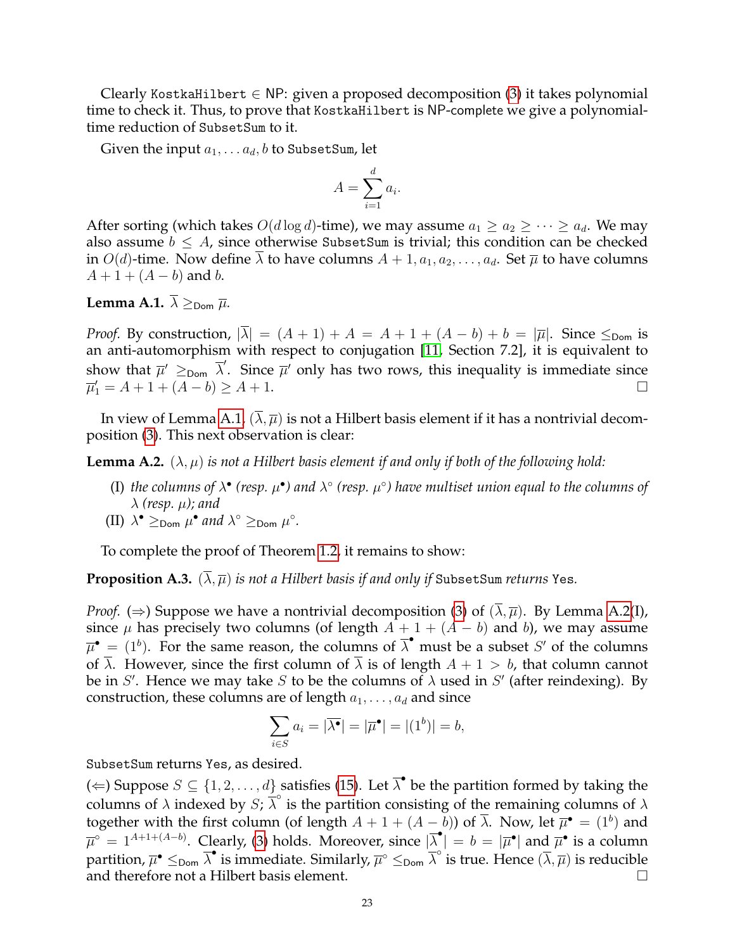Clearly KostkaHilbert  $\in$  NP: given a proposed decomposition [\(3\)](#page-2-6) it takes polynomial time to check it. Thus, to prove that KostkaHilbert is NP-complete we give a polynomialtime reduction of SubsetSum to it.

Given the input  $a_1, \ldots a_d, b$  to SubsetSum, let

$$
A = \sum_{i=1}^{d} a_i.
$$

After sorting (which takes  $O(d \log d)$ -time), we may assume  $a_1 \ge a_2 \ge \cdots \ge a_d$ . We may also assume  $b \leq A$ , since otherwise SubsetSum is trivial; this condition can be checked in  $O(d)$ -time. Now define  $\lambda$  to have columns  $A + 1, a_1, a_2, \ldots, a_d$ . Set  $\overline{\mu}$  to have columns  $A + 1 + (A - b)$  and b.

# <span id="page-22-0"></span>**Lemma A.1.**  $\overline{\lambda} \geq_{\text{Dom}} \overline{\mu}$ .

*Proof.* By construction,  $|\overline{\lambda}| = (A + 1) + A = A + 1 + (A - b) + b = |\overline{\mu}|$ . Since  $\leq_{\text{Dom}}$  is an anti-automorphism with respect to conjugation [\[11,](#page-23-1) Section 7.2], it is equivalent to show that  $\bar{\mu}' \geq_{\text{Dom}} \bar{\lambda}'$ . Since  $\bar{\mu}'$  only has two rows, this inequality is immediate since  $\overline{\mu}'_1 = A + 1 + (A - b) \ge A + 1.$ 

In view of Lemma [A.1,](#page-22-0)  $(\overline{\lambda}, \overline{\mu})$  is not a Hilbert basis element if it has a nontrivial decomposition [\(3\)](#page-2-6). This next observation is clear:

<span id="page-22-1"></span>**Lemma A.2.**  $(\lambda, \mu)$  *is not a Hilbert basis element if and only if both of the following hold:* 

- (I) the columns of  $\lambda^{\bullet}$  (resp.  $\mu^{\bullet}$ ) and  $\lambda^{\circ}$  (resp.  $\mu^{\circ}$ ) have multiset union equal to the columns of  $\lambda$  (resp.  $\mu$ ); and
- (II)  $\lambda^{\bullet} \geq_{\text{Dom}} \mu^{\bullet}$  and  $\lambda^{\circ} \geq_{\text{Dom}} \mu^{\circ}$ .

To complete the proof of Theorem [1.2,](#page-2-5) it remains to show:

**Proposition A.3.**  $(\lambda, \overline{\mu})$  *is not a Hilbert basis if and only if* SubsetSum *returns* Yes.

*Proof.* ( $\Rightarrow$ ) Suppose we have a nontrivial decomposition [\(3\)](#page-2-6) of  $(\overline{\lambda}, \overline{\mu})$ . By Lemma [A.2\(](#page-22-1)I), since  $\mu$  has precisely two columns (of length  $A + 1 + (A - b)$  and b), we may assume  $\overline{\mu}^{\bullet} = (1^b)$ . For the same reason, the columns of  $\overline{\lambda}^{\bullet}$  must be a subset S' of the columns of  $\overline{\lambda}$ . However, since the first column of  $\overline{\lambda}$  is of length  $A + 1 > b$ , that column cannot be in S'. Hence we may take S to be the columns of  $\lambda$  used in S' (after reindexing). By construction, these columns are of length  $a_1, \ldots, a_d$  and since

$$
\sum_{i \in S} a_i = |\overline{\lambda^{\bullet}}| = |\overline{\mu}^{\bullet}| = |(1^b)| = b,
$$

SubsetSum returns Yes, as desired.

(  $\Leftarrow$  ) Suppose  $S \subseteq \{1, 2, ..., d\}$  satisfies [\(15\)](#page-21-2). Let  $\overline{\lambda}^{\bullet}$  be the partition formed by taking the columns of  $\lambda$  indexed by  $S$ ;  $\overline{\lambda}^{\circ}$  is the partition consisting of the remaining columns of  $\lambda$ together with the first column (of length  $A + 1 + (A - b)$ ) of  $\overline{\lambda}$ . Now, let  $\overline{\mu}^{\bullet} = (1^b)$  and  $\overline{\mu}^{\circ} = 1^{A+1+(A-b)}$ . Clearly, [\(3\)](#page-2-6) holds. Moreover, since  $|\overline{\lambda}^{\bullet}| = b = |\overline{\mu}^{\bullet}|$  and  $\overline{\mu}^{\bullet}$  is a column partition,  $\overline{\mu}^\bullet\leq_{\sf Dom} \overline{\lambda}^\bullet$  is immediate. Similarly,  $\overline{\mu}^\circ\leq_{\sf Dom} \overline{\lambda}^\circ$  is true. Hence  $(\overline{\lambda},\overline{\mu})$  is reducible and therefore not a Hilbert basis element.